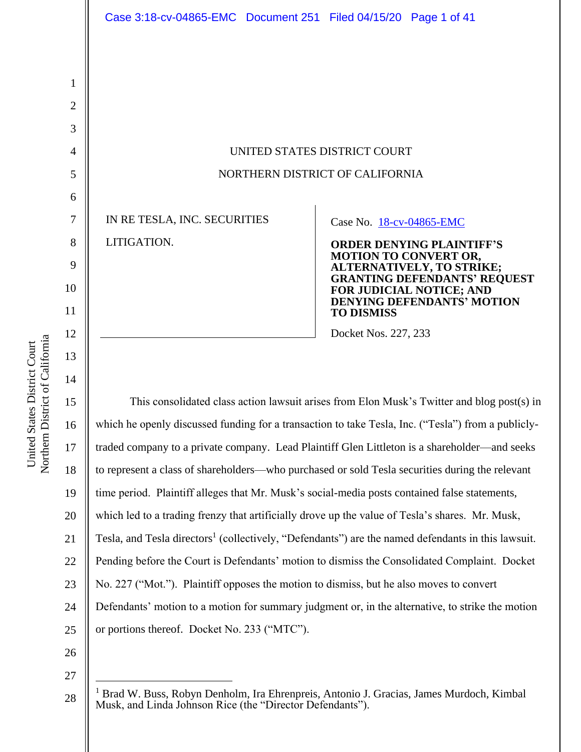UNITED STATES DISTRICT COURT NORTHERN DISTRICT OF CALIFORNIA

IN RE TESLA, INC. SECURITIES

LITIGATION.

Case No. [18-cv-04865-EMC](https://ecf.cand.uscourts.gov/cgi-bin/DktRpt.pl?330489) 

**ORDER DENYING PLAINTIFF'S MOTION TO CONVERT OR, ALTERNATIVELY, TO STRIKE; GRANTING DEFENDANTS' REQUEST FOR JUDICIAL NOTICE; AND DENYING DEFENDANTS' MOTION TO DISMISS**

Docket Nos. 227, 233

15 16 18 20 22 23 24 25 This consolidated class action lawsuit arises from Elon Musk's Twitter and blog post(s) in which he openly discussed funding for a transaction to take Tesla, Inc. ("Tesla") from a publiclytraded company to a private company. Lead Plaintiff Glen Littleton is a shareholder—and seeks to represent a class of shareholders—who purchased or sold Tesla securities during the relevant time period. Plaintiff alleges that Mr. Musk's social-media posts contained false statements, which led to a trading frenzy that artificially drove up the value of Tesla's shares. Mr. Musk, Tesla, and Tesla directors<sup>1</sup> (collectively, "Defendants") are the named defendants in this lawsuit. Pending before the Court is Defendants' motion to dismiss the Consolidated Complaint. Docket No. 227 ("Mot."). Plaintiff opposes the motion to dismiss, but he also moves to convert Defendants' motion to a motion for summary judgment or, in the alternative, to strike the motion or portions thereof. Docket No. 233 ("MTC").

26

27

Northern District of California Northern District of California United States District Court United States District Court

1

2

3

4

5

6

7

8

9

10

11

12

13

14

17

19

<sup>28</sup> <sup>1</sup> Brad W. Buss, Robyn Denholm, Ira Ehrenpreis, Antonio J. Gracias, James Murdoch, Kimbal Musk, and Linda Johnson Rice (the "Director Defendants").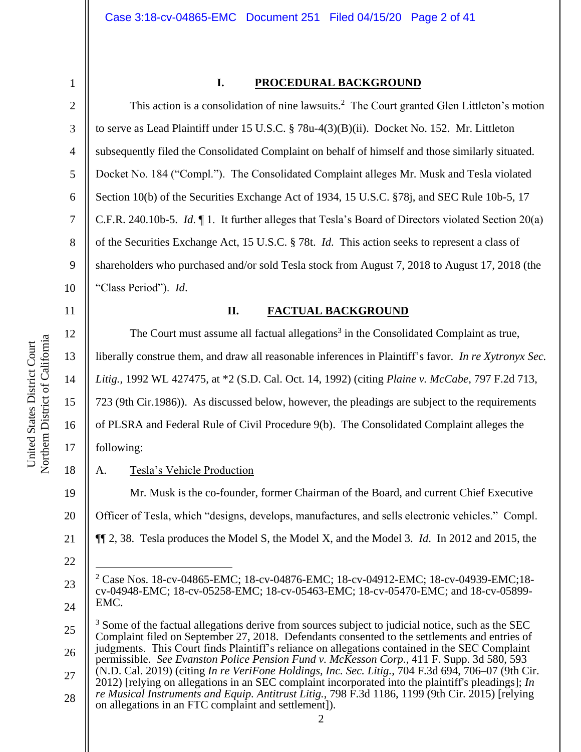3

4

5

6

7

8

9

## **I. PROCEDURAL BACKGROUND**

This action is a consolidation of nine lawsuits.<sup>2</sup> The Court granted Glen Littleton's motion to serve as Lead Plaintiff under 15 U.S.C. § 78u-4(3)(B)(ii). Docket No. 152. Mr. Littleton subsequently filed the Consolidated Complaint on behalf of himself and those similarly situated. Docket No. 184 ("Compl."). The Consolidated Complaint alleges Mr. Musk and Tesla violated Section 10(b) of the Securities Exchange Act of 1934, 15 U.S.C. §78j, and SEC Rule 10b-5, 17 C.F.R. 240.10b-5. *Id*. ¶ 1. It further alleges that Tesla's Board of Directors violated Section 20(a) of the Securities Exchange Act, 15 U.S.C. § 78t. *Id*. This action seeks to represent a class of shareholders who purchased and/or sold Tesla stock from August 7, 2018 to August 17, 2018 (the "Class Period"). *Id*.

11

12

13

14

15

16

17

18

22

23

24

10

# **II. FACTUAL BACKGROUND**

The Court must assume all factual allegations<sup>3</sup> in the Consolidated Complaint as true, liberally construe them, and draw all reasonable inferences in Plaintiff's favor. *In re Xytronyx Sec. Litig.*, 1992 WL 427475, at \*2 (S.D. Cal. Oct. 14, 1992) (citing *Plaine v. McCabe*, 797 F.2d 713, 723 (9th Cir.1986)). As discussed below, however, the pleadings are subject to the requirements of PLSRA and Federal Rule of Civil Procedure 9(b). The Consolidated Complaint alleges the following:

A. Tesla's Vehicle Production

19 20 21 Mr. Musk is the co-founder, former Chairman of the Board, and current Chief Executive Officer of Tesla, which "designs, develops, manufactures, and sells electronic vehicles." Compl. ¶¶ 2, 38. Tesla produces the Model S, the Model X, and the Model 3. *Id*. In 2012 and 2015, the

28 on allegations in an FTC complaint and settlement]).

<sup>2</sup> Case Nos. 18-cv-04865-EMC; 18-cv-04876-EMC; 18-cv-04912-EMC; 18-cv-04939-EMC;18 cv-04948-EMC; 18-cv-05258-EMC; 18-cv-05463-EMC; 18-cv-05470-EMC; and 18-cv-05899- EMC.

<sup>25</sup> 26 <sup>3</sup> Some of the factual allegations derive from sources subject to judicial notice, such as the SEC Complaint filed on September 27, 2018. Defendants consented to the settlements and entries of judgments. This Court finds Plaintiff's reliance on allegations contained in the SEC Complaint permissible. *See Evanston Police Pension Fund v. McKesson Corp.*, 411 F. Supp. 3d 580, 593 (N.D. Cal. 2019) (citing *In re VeriFone Holdings, Inc. Sec. Litig.*, 704 F.3d 694, 706–07 (9th Cir.

<sup>27</sup> 2012) [relying on allegations in an SEC complaint incorporated into the plaintiff's pleadings]; *In re Musical Instruments and Equip. Antitrust Litig.*, 798 F.3d 1186, 1199 (9th Cir. 2015) [relying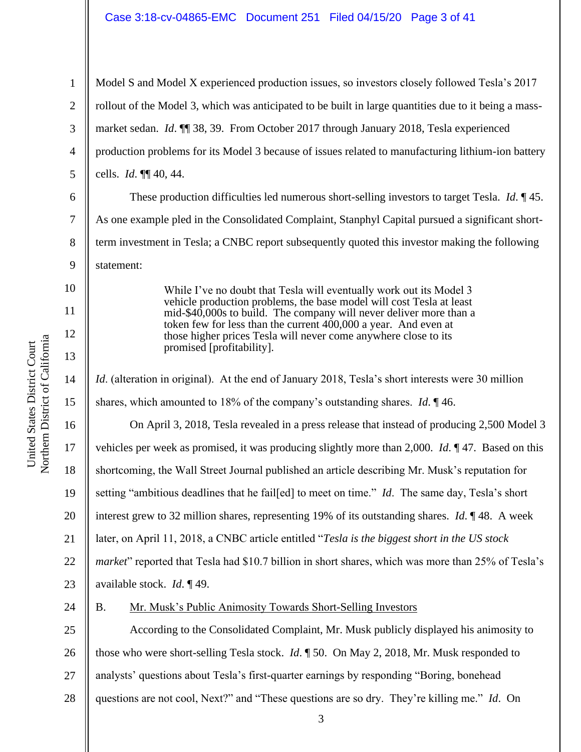### Case 3:18-cv-04865-EMC Document 251 Filed 04/15/20 Page 3 of 41

1 2 3 4 5 Model S and Model X experienced production issues, so investors closely followed Tesla's 2017 rollout of the Model 3, which was anticipated to be built in large quantities due to it being a massmarket sedan. *Id*. ¶¶ 38, 39. From October 2017 through January 2018, Tesla experienced production problems for its Model 3 because of issues related to manufacturing lithium-ion battery cells. *Id*. ¶¶ 40, 44.

These production difficulties led numerous short-selling investors to target Tesla. *Id*. ¶ 45. As one example pled in the Consolidated Complaint, Stanphyl Capital pursued a significant shortterm investment in Tesla; a CNBC report subsequently quoted this investor making the following statement:

> While I've no doubt that Tesla will eventually work out its Model 3 vehicle production problems, the base model will cost Tesla at least mid-\$40,000s to build. The company will never deliver more than a token few for less than the current 400,000 a year. And even at those higher prices Tesla will never come anywhere close to its promised [profitability].

*Id.* (alteration in original). At the end of January 2018, Tesla's short interests were 30 million shares, which amounted to 18% of the company's outstanding shares. *Id*. ¶ 46. On April 3, 2018, Tesla revealed in a press release that instead of producing 2,500 Model 3 vehicles per week as promised, it was producing slightly more than 2,000. *Id*. ¶ 47. Based on this

shortcoming, the Wall Street Journal published an article describing Mr. Musk's reputation for

19 setting "ambitious deadlines that he fail[ed] to meet on time." *Id*. The same day, Tesla's short

20 interest grew to 32 million shares, representing 19% of its outstanding shares. *Id*. ¶ 48. A week

21 later, on April 11, 2018, a CNBC article entitled "*Tesla is the biggest short in the US stock* 

22 23 *market*" reported that Tesla had \$10.7 billion in short shares, which was more than 25% of Tesla's available stock. *Id*. ¶ 49.

24

# B. Mr. Musk's Public Animosity Towards Short-Selling Investors

25 26 27 28 According to the Consolidated Complaint, Mr. Musk publicly displayed his animosity to those who were short-selling Tesla stock. *Id*. ¶ 50. On May 2, 2018, Mr. Musk responded to analysts' questions about Tesla's first-quarter earnings by responding "Boring, bonehead questions are not cool, Next?" and "These questions are so dry. They're killing me." *Id*. On

6

7

8

9

10

11

12

13

14

15

16

17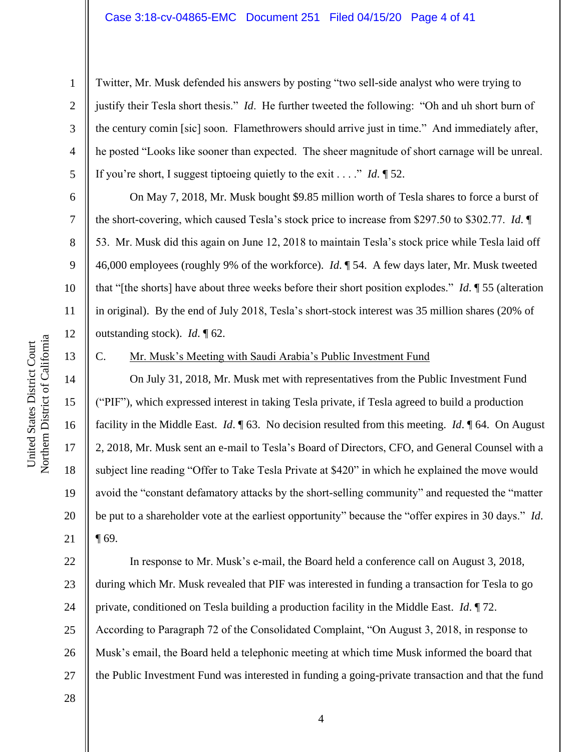Twitter, Mr. Musk defended his answers by posting "two sell-side analyst who were trying to justify their Tesla short thesis." *Id*. He further tweeted the following: "Oh and uh short burn of the century comin [sic] soon. Flamethrowers should arrive just in time." And immediately after, he posted "Looks like sooner than expected. The sheer magnitude of short carnage will be unreal. If you're short, I suggest tiptoeing quietly to the exit . . . ." *Id*. ¶ 52.

On May 7, 2018, Mr. Musk bought \$9.85 million worth of Tesla shares to force a burst of the short-covering, which caused Tesla's stock price to increase from \$297.50 to \$302.77. *Id*. ¶ 53. Mr. Musk did this again on June 12, 2018 to maintain Tesla's stock price while Tesla laid off 46,000 employees (roughly 9% of the workforce). *Id*. ¶ 54. A few days later, Mr. Musk tweeted that "[the shorts] have about three weeks before their short position explodes." *Id*. ¶ 55 (alteration in original). By the end of July 2018, Tesla's short-stock interest was 35 million shares (20% of outstanding stock). *Id*. ¶ 62.

13

14

15

16

17

18

19

20

21

1

2

3

4

5

6

7

8

9

10

11

12

### C. Mr. Musk's Meeting with Saudi Arabia's Public Investment Fund

On July 31, 2018, Mr. Musk met with representatives from the Public Investment Fund ("PIF"), which expressed interest in taking Tesla private, if Tesla agreed to build a production facility in the Middle East. *Id*. ¶ 63. No decision resulted from this meeting. *Id*. ¶ 64. On August 2, 2018, Mr. Musk sent an e-mail to Tesla's Board of Directors, CFO, and General Counsel with a subject line reading "Offer to Take Tesla Private at \$420" in which he explained the move would avoid the "constant defamatory attacks by the short-selling community" and requested the "matter be put to a shareholder vote at the earliest opportunity" because the "offer expires in 30 days." *Id*. ¶ 69.

22 23 24 25 26 27 In response to Mr. Musk's e-mail, the Board held a conference call on August 3, 2018, during which Mr. Musk revealed that PIF was interested in funding a transaction for Tesla to go private, conditioned on Tesla building a production facility in the Middle East. *Id*. ¶ 72. According to Paragraph 72 of the Consolidated Complaint, "On August 3, 2018, in response to Musk's email, the Board held a telephonic meeting at which time Musk informed the board that the Public Investment Fund was interested in funding a going-private transaction and that the fund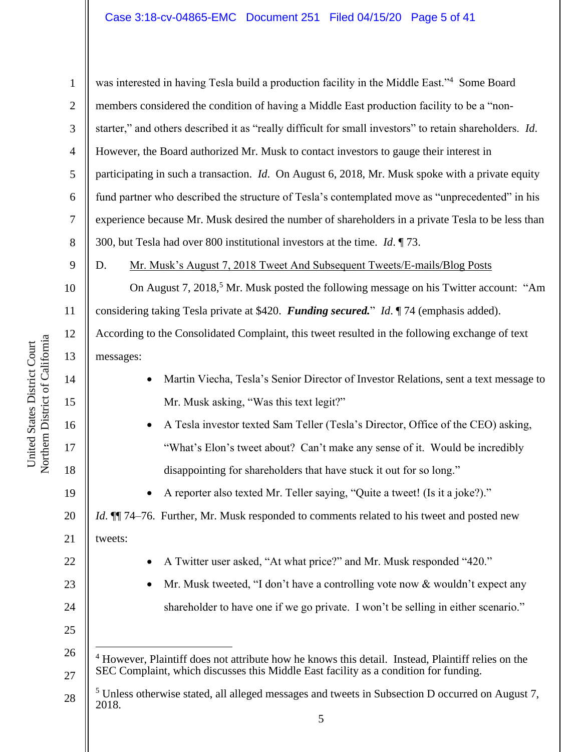1 2 3 4 5 6 7 8 9 10 11 12 13 14 15 16 17 18 19 20 21 22 23 24 25 26 27 28 was interested in having Tesla build a production facility in the Middle East."<sup>4</sup> Some Board members considered the condition of having a Middle East production facility to be a "nonstarter," and others described it as "really difficult for small investors" to retain shareholders. *Id*. However, the Board authorized Mr. Musk to contact investors to gauge their interest in participating in such a transaction. *Id*. On August 6, 2018, Mr. Musk spoke with a private equity fund partner who described the structure of Tesla's contemplated move as "unprecedented" in his experience because Mr. Musk desired the number of shareholders in a private Tesla to be less than 300, but Tesla had over 800 institutional investors at the time. *Id*. ¶ 73. D. Mr. Musk's August 7, 2018 Tweet And Subsequent Tweets/E-mails/Blog Posts On August 7, 2018,<sup>5</sup> Mr. Musk posted the following message on his Twitter account: "Am considering taking Tesla private at \$420. *Funding secured.*" *Id*. ¶ 74 (emphasis added). According to the Consolidated Complaint, this tweet resulted in the following exchange of text messages: • Martin Viecha, Tesla's Senior Director of Investor Relations, sent a text message to Mr. Musk asking, "Was this text legit?" • A Tesla investor texted Sam Teller (Tesla's Director, Office of the CEO) asking, "What's Elon's tweet about? Can't make any sense of it. Would be incredibly disappointing for shareholders that have stuck it out for so long." • A reporter also texted Mr. Teller saying, "Quite a tweet! (Is it a joke?)." *Id*. ¶ 74–76. Further, Mr. Musk responded to comments related to his tweet and posted new tweets: • A Twitter user asked, "At what price?" and Mr. Musk responded "420." • Mr. Musk tweeted, "I don't have a controlling vote now & wouldn't expect any shareholder to have one if we go private. I won't be selling in either scenario." <sup>4</sup> However, Plaintiff does not attribute how he knows this detail. Instead, Plaintiff relies on the SEC Complaint, which discusses this Middle East facility as a condition for funding. <sup>5</sup> Unless otherwise stated, all alleged messages and tweets in Subsection D occurred on August 7, 2018.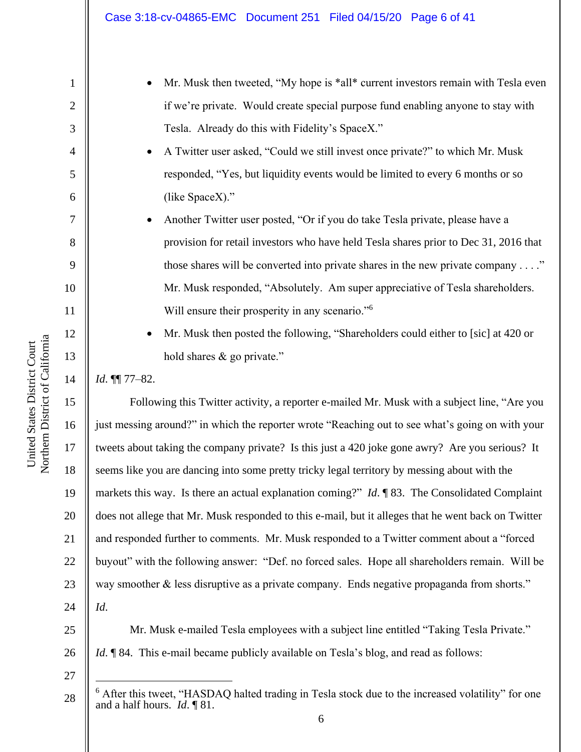- Mr. Musk then tweeted, "My hope is \*all\* current investors remain with Tesla even if we're private. Would create special purpose fund enabling anyone to stay with Tesla. Already do this with Fidelity's SpaceX."
- A Twitter user asked, "Could we still invest once private?" to which Mr. Musk responded, "Yes, but liquidity events would be limited to every 6 months or so (like SpaceX)."
- Another Twitter user posted, "Or if you do take Tesla private, please have a provision for retail investors who have held Tesla shares prior to Dec 31, 2016 that those shares will be converted into private shares in the new private company . . . ." Mr. Musk responded, "Absolutely. Am super appreciative of Tesla shareholders. Will ensure their prosperity in any scenario."<sup>6</sup>
- Mr. Musk then posted the following, "Shareholders could either to [sic] at 420 or hold shares & go private."

*Id*. ¶¶ 77–82.

15 16 17 18 19 20 21 22 23 24 Following this Twitter activity, a reporter e-mailed Mr. Musk with a subject line, "Are you just messing around?" in which the reporter wrote "Reaching out to see what's going on with your tweets about taking the company private? Is this just a 420 joke gone awry? Are you serious? It seems like you are dancing into some pretty tricky legal territory by messing about with the markets this way. Is there an actual explanation coming?" *Id*. ¶ 83. The Consolidated Complaint does not allege that Mr. Musk responded to this e-mail, but it alleges that he went back on Twitter and responded further to comments. Mr. Musk responded to a Twitter comment about a "forced buyout" with the following answer: "Def. no forced sales. Hope all shareholders remain. Will be way smoother & less disruptive as a private company. Ends negative propaganda from shorts." *Id*.

Mr. Musk e-mailed Tesla employees with a subject line entitled "Taking Tesla Private."

- *Id*. ¶ 84. This e-mail became publicly available on Tesla's blog, and read as follows:
- 27

25

26

1

2

3

4

5

6

7

8

9

10

11

12

13

<sup>28</sup> <sup>6</sup> After this tweet, "HASDAQ halted trading in Tesla stock due to the increased volatility" for one and a half hours. *Id*. ¶ 81.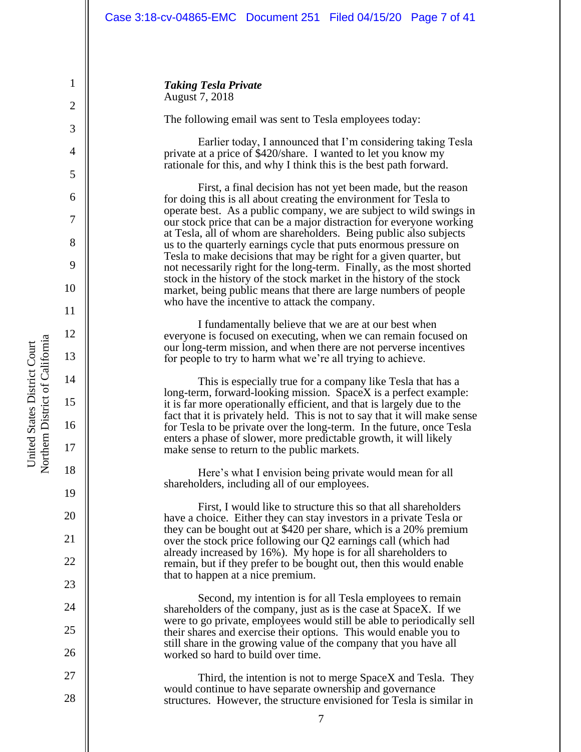*Taking Tesla Private* August 7, 2018

The following email was sent to Tesla employees today:

Earlier today, I announced that I'm considering taking Tesla private at a price of \$420/share. I wanted to let you know my rationale for this, and why I think this is the best path forward.

First, a final decision has not yet been made, but the reason for doing this is all about creating the environment for Tesla to operate best. As a public company, we are subject to wild swings in our stock price that can be a major distraction for everyone working at Tesla, all of whom are shareholders. Being public also subjects us to the quarterly earnings cycle that puts enormous pressure on Tesla to make decisions that may be right for a given quarter, but not necessarily right for the long-term. Finally, as the most shorted stock in the history of the stock market in the history of the stock market, being public means that there are large numbers of people who have the incentive to attack the company.

I fundamentally believe that we are at our best when everyone is focused on executing, when we can remain focused on our long-term mission, and when there are not perverse incentives for people to try to harm what we're all trying to achieve.

This is especially true for a company like Tesla that has a long-term, forward-looking mission. SpaceX is a perfect example: it is far more operationally efficient, and that is largely due to the fact that it is privately held. This is not to say that it will make sense for Tesla to be private over the long-term. In the future, once Tesla enters a phase of slower, more predictable growth, it will likely make sense to return to the public markets.

Here's what I envision being private would mean for all shareholders, including all of our employees.

First, I would like to structure this so that all shareholders have a choice. Either they can stay investors in a private Tesla or they can be bought out at \$420 per share, which is a 20% premium over the stock price following our Q2 earnings call (which had already increased by 16%). My hope is for all shareholders to remain, but if they prefer to be bought out, then this would enable that to happen at a nice premium.

Second, my intention is for all Tesla employees to remain shareholders of the company, just as is the case at SpaceX. If we were to go private, employees would still be able to periodically sell their shares and exercise their options. This would enable you to still share in the growing value of the company that you have all worked so hard to build over time.

Third, the intention is not to merge SpaceX and Tesla. They would continue to have separate ownership and governance structures. However, the structure envisioned for Tesla is similar in

Northern District of California Northern District of California United States District Court United States District Court

1

2

3

4

5

6

7

8

9

10

11

12

13

14

15

16

17

18

19

20

21

22

23

24

25

26

27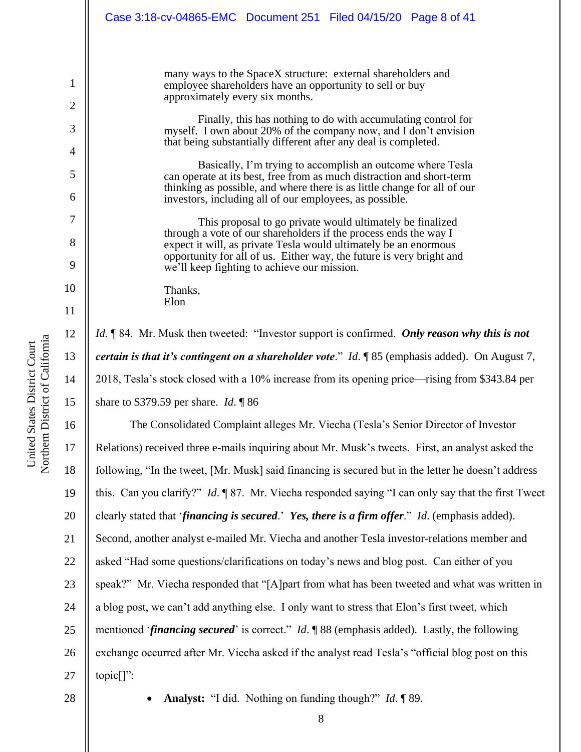|                | Case 3:18-cv-04865-EMC  Document 251  Filed 04/15/20  Page 8 of 41                                                                                                                                                                                          |
|----------------|-------------------------------------------------------------------------------------------------------------------------------------------------------------------------------------------------------------------------------------------------------------|
|                |                                                                                                                                                                                                                                                             |
| 1              | many ways to the SpaceX structure: external shareholders and<br>employee shareholders have an opportunity to sell or buy                                                                                                                                    |
| $\overline{c}$ | approximately every six months.                                                                                                                                                                                                                             |
| 3              | Finally, this has nothing to do with accumulating control for<br>myself. I own about 20% of the company now, and I don't envision<br>that being substantially different after any deal is completed.                                                        |
| 4              | Basically, I'm trying to accomplish an outcome where Tesla                                                                                                                                                                                                  |
| 5<br>6         | can operate at its best, free from as much distraction and short-term<br>thinking as possible, and where there is as little change for all of our<br>investors, including all of our employees, as possible.                                                |
| 7              | This proposal to go private would ultimately be finalized                                                                                                                                                                                                   |
| 8<br>9         | through a vote of our shareholders if the process ends the way I<br>expect it will, as private Tesla would ultimately be an enormous<br>opportunity for all of us. Either way, the future is very bright and<br>we'll keep fighting to achieve our mission. |
| 10             | Thanks,                                                                                                                                                                                                                                                     |
| 11             | Elon                                                                                                                                                                                                                                                        |
| 12             | <i>Id.</i> ¶ 84. Mr. Musk then tweeted: "Investor support is confirmed. <i>Only reason why this is not</i>                                                                                                                                                  |
| 13             | <i>certain is that it's contingent on a shareholder vote.</i> " <i>Id.</i> 185 (emphasis added). On August 7,                                                                                                                                               |
| 14             | 2018, Tesla's stock closed with a 10% increase from its opening price—rising from \$343.84 per                                                                                                                                                              |
| 15             | share to \$379.59 per share. <i>Id.</i> $\sqrt{86}$                                                                                                                                                                                                         |
| 16             | The Consolidated Complaint alleges Mr. Viecha (Tesla's Senior Director of Investor                                                                                                                                                                          |
| 17             | Relations) received three e-mails inquiring about Mr. Musk's tweets. First, an analyst asked the                                                                                                                                                            |
| 18             | following, "In the tweet, [Mr. Musk] said financing is secured but in the letter he doesn't address                                                                                                                                                         |
| 19             | this. Can you clarify?" <i>Id.</i> 187. Mr. Viecha responded saying "I can only say that the first Tweet                                                                                                                                                    |
| 20             | clearly stated that 'financing is secured.' Yes, there is a firm offer." Id. (emphasis added).                                                                                                                                                              |
| 21             | Second, another analyst e-mailed Mr. Viecha and another Tesla investor-relations member and                                                                                                                                                                 |
| 22             | asked "Had some questions/clarifications on today's news and blog post. Can either of you                                                                                                                                                                   |
| 23             | speak?" Mr. Viecha responded that "[A] part from what has been tweeted and what was written in                                                                                                                                                              |
| 24             | a blog post, we can't add anything else. I only want to stress that Elon's first tweet, which                                                                                                                                                               |
| 25             | mentioned ' <i>financing secured'</i> is correct." <i>Id.</i> $\sqrt{\frac{88}{9}}$ (emphasis added). Lastly, the following                                                                                                                                 |
| 26             | exchange occurred after Mr. Viecha asked if the analyst read Tesla's "official blog post on this                                                                                                                                                            |
| 27             | $topic[]$ ":                                                                                                                                                                                                                                                |
| 28             | Analyst: "I did. Nothing on funding though?" Id. ¶ 89.<br>$\bullet$                                                                                                                                                                                         |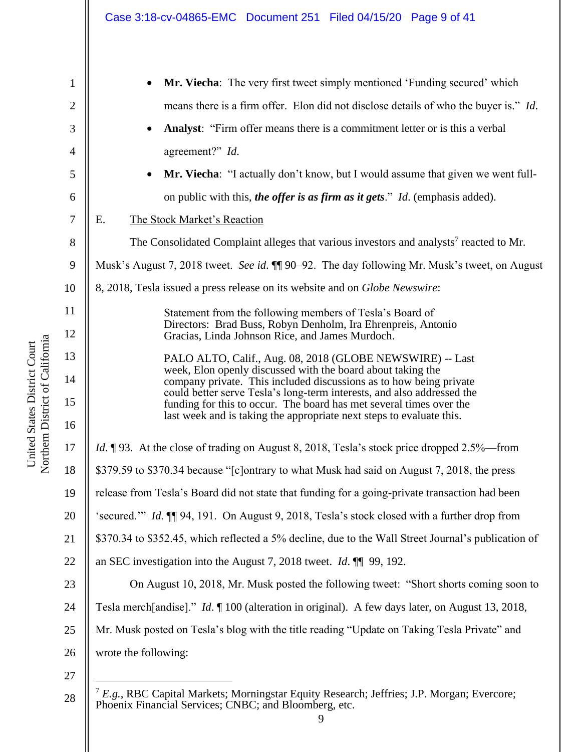|                      | Case 3:18-cv-04865-EMC Document 251 Filed 04/15/20 Page 9 of 41                                                                                                                                                                                                                                                                                                                                                         |
|----------------------|-------------------------------------------------------------------------------------------------------------------------------------------------------------------------------------------------------------------------------------------------------------------------------------------------------------------------------------------------------------------------------------------------------------------------|
| 1                    | <b>Mr. Viecha:</b> The very first tweet simply mentioned 'Funding secured' which<br>$\bullet$                                                                                                                                                                                                                                                                                                                           |
| $\overline{2}$       | means there is a firm offer. Elon did not disclose details of who the buyer is." Id.                                                                                                                                                                                                                                                                                                                                    |
| 3                    | Analyst: "Firm offer means there is a commitment letter or is this a verbal<br>$\bullet$                                                                                                                                                                                                                                                                                                                                |
| 4                    | agreement?" Id.                                                                                                                                                                                                                                                                                                                                                                                                         |
| 5                    | Mr. Viecha: "I actually don't know, but I would assume that given we went full-<br>$\bullet$                                                                                                                                                                                                                                                                                                                            |
| 6                    | on public with this, the offer is as firm as it gets." Id. (emphasis added).                                                                                                                                                                                                                                                                                                                                            |
| 7                    | The Stock Market's Reaction<br>Ε.                                                                                                                                                                                                                                                                                                                                                                                       |
| $8\,$                | The Consolidated Complaint alleges that various investors and analysts <sup>7</sup> reacted to Mr.                                                                                                                                                                                                                                                                                                                      |
| 9                    | Musk's August 7, 2018 tweet. See id. II 90–92. The day following Mr. Musk's tweet, on August                                                                                                                                                                                                                                                                                                                            |
| 10                   | 8, 2018, Tesla issued a press release on its website and on <i>Globe Newswire</i> :                                                                                                                                                                                                                                                                                                                                     |
| 11<br>12             | Statement from the following members of Tesla's Board of<br>Directors: Brad Buss, Robyn Denholm, Ira Ehrenpreis, Antonio<br>Gracias, Linda Johnson Rice, and James Murdoch.                                                                                                                                                                                                                                             |
| 13<br>14<br>15<br>16 | PALO ALTO, Calif., Aug. 08, 2018 (GLOBE NEWSWIRE) -- Last<br>week, Elon openly discussed with the board about taking the<br>company private. This included discussions as to how being private<br>could better serve Tesla's long-term interests, and also addressed the<br>funding for this to occur. The board has met several times over the<br>last week and is taking the appropriate next steps to evaluate this. |
| 17                   | <i>Id.</i> ¶ 93. At the close of trading on August 8, 2018, Tesla's stock price dropped 2.5%—from                                                                                                                                                                                                                                                                                                                       |
| 18                   | \$379.59 to \$370.34 because "[c]ontrary to what Musk had said on August 7, 2018, the press                                                                                                                                                                                                                                                                                                                             |
| 19                   | release from Tesla's Board did not state that funding for a going-private transaction had been                                                                                                                                                                                                                                                                                                                          |
| 20                   | 'secured." Id. III 94, 191. On August 9, 2018, Tesla's stock closed with a further drop from                                                                                                                                                                                                                                                                                                                            |
| 21                   | \$370.34 to \$352.45, which reflected a 5% decline, due to the Wall Street Journal's publication of                                                                                                                                                                                                                                                                                                                     |
| 22                   | an SEC investigation into the August 7, 2018 tweet. <i>Id.</i> $\P$ 99, 192.                                                                                                                                                                                                                                                                                                                                            |
| 23                   | On August 10, 2018, Mr. Musk posted the following tweet: "Short shorts coming soon to                                                                                                                                                                                                                                                                                                                                   |
| 24                   | Tesla merch[andise]." <i>Id.</i> 100 (alteration in original). A few days later, on August 13, 2018,                                                                                                                                                                                                                                                                                                                    |
| 25                   | Mr. Musk posted on Tesla's blog with the title reading "Update on Taking Tesla Private" and                                                                                                                                                                                                                                                                                                                             |
| 26                   | wrote the following:                                                                                                                                                                                                                                                                                                                                                                                                    |
| 27                   |                                                                                                                                                                                                                                                                                                                                                                                                                         |
| 28                   | $7 E.g., RBC Capital Markets; Moningstar Equity Research; Jeffries; J.P. Morgan; Everyone;$                                                                                                                                                                                                                                                                                                                             |

Northern District of California Northern District of California United States District Court United States District Court

Phoenix Financial Services; CNBC; and Bloomberg, etc.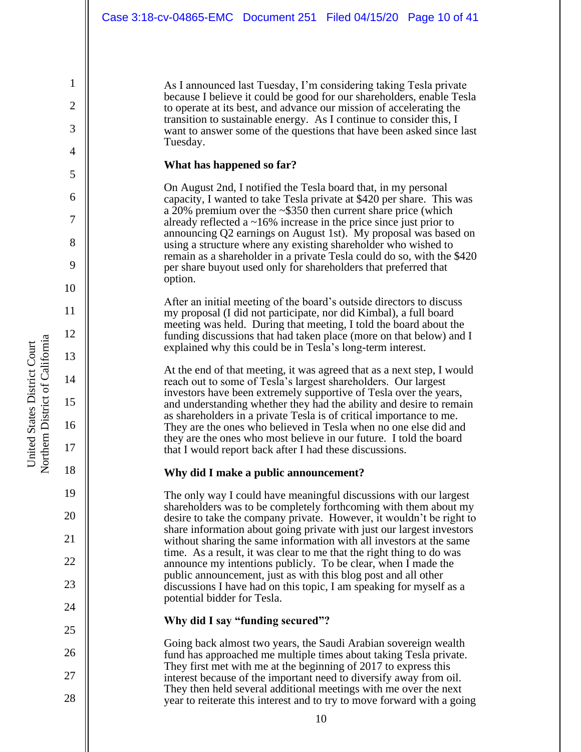As I announced last Tuesday, I'm considering taking Tesla private because I believe it could be good for our shareholders, enable Tesla to operate at its best, and advance our mission of accelerating the transition to sustainable energy. As I continue to consider this, I want to answer some of the questions that have been asked since last Tuesday.

### **What has happened so far?**

On August 2nd, I notified the Tesla board that, in my personal capacity, I wanted to take Tesla private at \$420 per share. This was a 20% premium over the ~\$350 then current share price (which already reflected a ~16% increase in the price since just prior to announcing Q2 earnings on August 1st). My proposal was based on using a structure where any existing shareholder who wished to remain as a shareholder in a private Tesla could do so, with the \$420 per share buyout used only for shareholders that preferred that option.

After an initial meeting of the board's outside directors to discuss my proposal (I did not participate, nor did Kimbal), a full board meeting was held. During that meeting, I told the board about the funding discussions that had taken place (more on that below) and I explained why this could be in Tesla's long-term interest.

At the end of that meeting, it was agreed that as a next step, I would reach out to some of Tesla's largest shareholders. Our largest investors have been extremely supportive of Tesla over the years, and understanding whether they had the ability and desire to remain as shareholders in a private Tesla is of critical importance to me. They are the ones who believed in Tesla when no one else did and they are the ones who most believe in our future. I told the board that I would report back after I had these discussions.

### **Why did I make a public announcement?**

The only way I could have meaningful discussions with our largest shareholders was to be completely forthcoming with them about my desire to take the company private. However, it wouldn't be right to share information about going private with just our largest investors without sharing the same information with all investors at the same time. As a result, it was clear to me that the right thing to do was announce my intentions publicly. To be clear, when I made the public announcement, just as with this blog post and all other discussions I have had on this topic, I am speaking for myself as a potential bidder for Tesla.

### **Why did I say "funding secured"?**

Going back almost two years, the Saudi Arabian sovereign wealth fund has approached me multiple times about taking Tesla private. They first met with me at the beginning of 2017 to express this interest because of the important need to diversify away from oil. They then held several additional meetings with me over the next year to reiterate this interest and to try to move forward with a going

1

2

3

4

5

6

7

8

9

10

11

12

13

14

15

16

17

18

19

20

21

22

23

24

25

26

27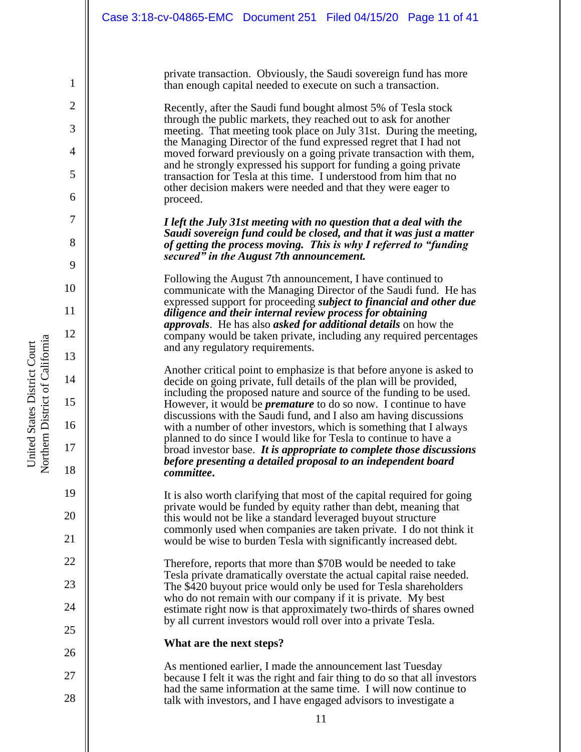private transaction. Obviously, the Saudi sovereign fund has more than enough capital needed to execute on such a transaction.

Recently, after the Saudi fund bought almost 5% of Tesla stock through the public markets, they reached out to ask for another meeting. That meeting took place on July 31st. During the meeting, the Managing Director of the fund expressed regret that I had not moved forward previously on a going private transaction with them, and he strongly expressed his support for funding a going private transaction for Tesla at this time. I understood from him that no other decision makers were needed and that they were eager to proceed.

#### *I left the July 31st meeting with no question that a deal with the Saudi sovereign fund could be closed, and that it was just a matter of getting the process moving. This is why I referred to "funding secured" in the August 7th announcement.*

Following the August 7th announcement, I have continued to communicate with the Managing Director of the Saudi fund. He has expressed support for proceeding *subject to financial and other due diligence and their internal review process for obtaining approvals*. He has also *asked for additional details* on how the company would be taken private, including any required percentages and any regulatory requirements.

Another critical point to emphasize is that before anyone is asked to decide on going private, full details of the plan will be provided, including the proposed nature and source of the funding to be used. However, it would be *premature* to do so now. I continue to have discussions with the Saudi fund, and I also am having discussions with a number of other investors, which is something that I always planned to do since I would like for Tesla to continue to have a broad investor base. *It is appropriate to complete those discussions before presenting a detailed proposal to an independent board committee***.**

It is also worth clarifying that most of the capital required for going private would be funded by equity rather than debt, meaning that this would not be like a standard leveraged buyout structure commonly used when companies are taken private. I do not think it would be wise to burden Tesla with significantly increased debt.

Therefore, reports that more than \$70B would be needed to take Tesla private dramatically overstate the actual capital raise needed. The \$420 buyout price would only be used for Tesla shareholders who do not remain with our company if it is private. My best estimate right now is that approximately two-thirds of shares owned by all current investors would roll over into a private Tesla.

### **What are the next steps?**

As mentioned earlier, I made the announcement last Tuesday because I felt it was the right and fair thing to do so that all investors had the same information at the same time. I will now continue to talk with investors, and I have engaged advisors to investigate a

1

2

3

4

5

6

7

8

9

10

11

12

13

14

15

16

17

18

19

20

21

22

23

24

25

26

27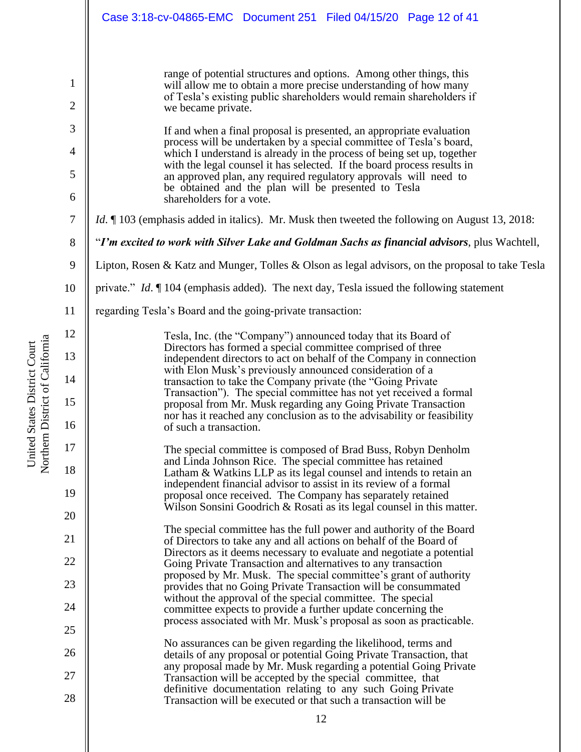|                                                                                         | Case 3:18-cv-04865-EMC  Document 251  Filed 04/15/20  Page 12 of 41                                                                                                                                                                                                                                                                                                                                                                                                                                                                                                                                                                                                                                                                                                                                                                                                                                                                                                                                                                                                                                                                                                                                                                                                                                                                                                              |
|-----------------------------------------------------------------------------------------|----------------------------------------------------------------------------------------------------------------------------------------------------------------------------------------------------------------------------------------------------------------------------------------------------------------------------------------------------------------------------------------------------------------------------------------------------------------------------------------------------------------------------------------------------------------------------------------------------------------------------------------------------------------------------------------------------------------------------------------------------------------------------------------------------------------------------------------------------------------------------------------------------------------------------------------------------------------------------------------------------------------------------------------------------------------------------------------------------------------------------------------------------------------------------------------------------------------------------------------------------------------------------------------------------------------------------------------------------------------------------------|
| 1<br>2<br>3<br>$\overline{4}$<br>5<br>6<br>$\tau$<br>$8\,$<br>9<br>10<br>11<br>12<br>13 | range of potential structures and options. Among other things, this<br>will allow me to obtain a more precise understanding of how many<br>of Tesla's existing public shareholders would remain shareholders if<br>we became private.<br>If and when a final proposal is presented, an appropriate evaluation<br>process will be undertaken by a special committee of Tesla's board,<br>which I understand is already in the process of being set up, together<br>with the legal counsel it has selected. If the board process results in<br>an approved plan, any required regulatory approvals will need to<br>be obtained and the plan will be presented to Tesla<br>shareholders for a vote.<br><i>Id.</i> 103 (emphasis added in italics). Mr. Musk then tweeted the following on August 13, 2018:<br>"I'm excited to work with Silver Lake and Goldman Sachs as financial advisors, plus Wachtell,<br>Lipton, Rosen & Katz and Munger, Tolles & Olson as legal advisors, on the proposal to take Tesla<br>private." $Id. \P$ 104 (emphasis added). The next day, Tesla issued the following statement<br>regarding Tesla's Board and the going-private transaction:<br>Tesla, Inc. (the "Company") announced today that its Board of<br>Directors has formed a special committee comprised of three<br>independent directors to act on behalf of the Company in connection |
| 14<br>15<br>16                                                                          | with Elon Musk's previously announced consideration of a<br>transaction to take the Company private (the "Going Private<br>Transaction"). The special committee has not yet received a formal<br>proposal from Mr. Musk regarding any Going Private Transaction<br>nor has it reached any conclusion as to the advisability or feasibility<br>of such a transaction.                                                                                                                                                                                                                                                                                                                                                                                                                                                                                                                                                                                                                                                                                                                                                                                                                                                                                                                                                                                                             |
| 17<br>18<br>19<br>20                                                                    | The special committee is composed of Brad Buss, Robyn Denholm<br>and Linda Johnson Rice. The special committee has retained<br>Latham & Watkins LLP as its legal counsel and intends to retain an<br>independent financial advisor to assist in its review of a formal<br>proposal once received. The Company has separately retained<br>Wilson Sonsini Goodrich & Rosati as its legal counsel in this matter.                                                                                                                                                                                                                                                                                                                                                                                                                                                                                                                                                                                                                                                                                                                                                                                                                                                                                                                                                                   |
| 21<br>22                                                                                | The special committee has the full power and authority of the Board<br>of Directors to take any and all actions on behalf of the Board of<br>Directors as it deems necessary to evaluate and negotiate a potential<br>Going Private Transaction and alternatives to any transaction<br>proposed by Mr. Musk. The special committee's grant of authority                                                                                                                                                                                                                                                                                                                                                                                                                                                                                                                                                                                                                                                                                                                                                                                                                                                                                                                                                                                                                          |
| 23<br>24                                                                                | provides that no Going Private Transaction will be consummated<br>without the approval of the special committee. The special<br>committee expects to provide a further update concerning the<br>process associated with Mr. Musk's proposal as soon as practicable.                                                                                                                                                                                                                                                                                                                                                                                                                                                                                                                                                                                                                                                                                                                                                                                                                                                                                                                                                                                                                                                                                                              |
| 25<br>26<br>27<br>28                                                                    | No assurances can be given regarding the likelihood, terms and<br>details of any proposal or potential Going Private Transaction, that<br>any proposal made by Mr. Musk regarding a potential Going Private<br>Transaction will be accepted by the special committee, that<br>definitive documentation relating to any such Going Private<br>Transaction will be executed or that such a transaction will be                                                                                                                                                                                                                                                                                                                                                                                                                                                                                                                                                                                                                                                                                                                                                                                                                                                                                                                                                                     |
|                                                                                         | 12                                                                                                                                                                                                                                                                                                                                                                                                                                                                                                                                                                                                                                                                                                                                                                                                                                                                                                                                                                                                                                                                                                                                                                                                                                                                                                                                                                               |

United States District Court<br>Northern District of California Northern District of California United States District Court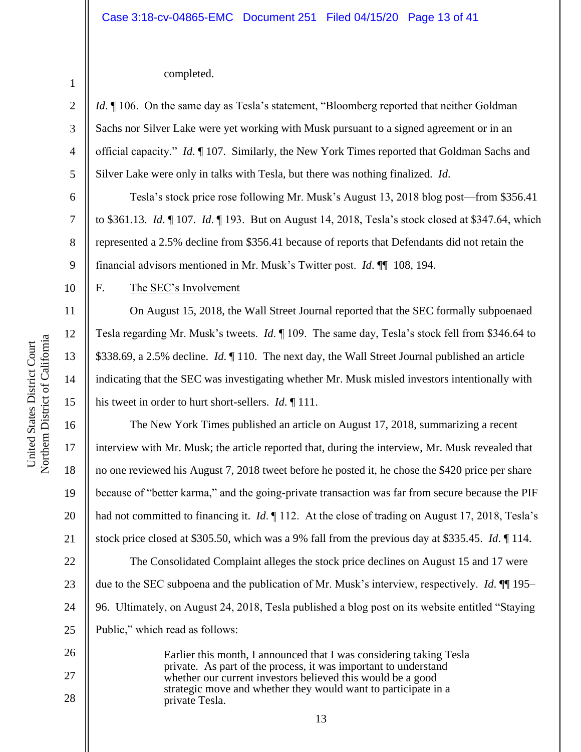5

6

7

8

9

10

11

12

13

14

15

16

17

18

19

20

21

26

27

28

completed.

*Id*. ¶ 106. On the same day as Tesla's statement, "Bloomberg reported that neither Goldman Sachs nor Silver Lake were yet working with Musk pursuant to a signed agreement or in an official capacity." *Id*. ¶ 107. Similarly, the New York Times reported that Goldman Sachs and Silver Lake were only in talks with Tesla, but there was nothing finalized. *Id*.

Tesla's stock price rose following Mr. Musk's August 13, 2018 blog post—from \$356.41 to \$361.13. *Id*. ¶ 107. *Id*. ¶ 193. But on August 14, 2018, Tesla's stock closed at \$347.64, which represented a 2.5% decline from \$356.41 because of reports that Defendants did not retain the financial advisors mentioned in Mr. Musk's Twitter post. *Id*. ¶¶ 108, 194.

### F. The SEC's Involvement

On August 15, 2018, the Wall Street Journal reported that the SEC formally subpoenaed Tesla regarding Mr. Musk's tweets. *Id*. ¶ 109. The same day, Tesla's stock fell from \$346.64 to \$338.69, a 2.5% decline. *Id*. ¶ 110. The next day, the Wall Street Journal published an article indicating that the SEC was investigating whether Mr. Musk misled investors intentionally with his tweet in order to hurt short-sellers. *Id*. ¶ 111.

The New York Times published an article on August 17, 2018, summarizing a recent interview with Mr. Musk; the article reported that, during the interview, Mr. Musk revealed that no one reviewed his August 7, 2018 tweet before he posted it, he chose the \$420 price per share because of "better karma," and the going-private transaction was far from secure because the PIF had not committed to financing it. *Id*. ¶ 112. At the close of trading on August 17, 2018, Tesla's stock price closed at \$305.50, which was a 9% fall from the previous day at \$335.45. *Id*. ¶ 114.

22 23 24 25 The Consolidated Complaint alleges the stock price declines on August 15 and 17 were due to the SEC subpoena and the publication of Mr. Musk's interview, respectively. *Id*. ¶¶ 195– 96. Ultimately, on August 24, 2018, Tesla published a blog post on its website entitled "Staying Public," which read as follows:

> Earlier this month, I announced that I was considering taking Tesla private. As part of the process, it was important to understand whether our current investors believed this would be a good strategic move and whether they would want to participate in a private Tesla.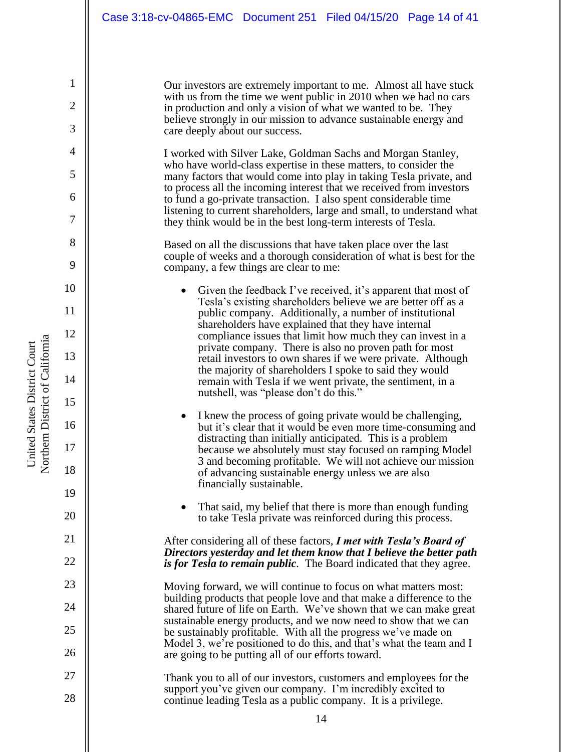Our investors are extremely important to me. Almost all have stuck with us from the time we went public in 2010 when we had no cars in production and only a vision of what we wanted to be. They believe strongly in our mission to advance sustainable energy and care deeply about our success.

I worked with Silver Lake, Goldman Sachs and Morgan Stanley, who have world-class expertise in these matters, to consider the many factors that would come into play in taking Tesla private, and to process all the incoming interest that we received from investors to fund a go-private transaction. I also spent considerable time listening to current shareholders, large and small, to understand what they think would be in the best long-term interests of Tesla.

Based on all the discussions that have taken place over the last couple of weeks and a thorough consideration of what is best for the company, a few things are clear to me:

- Given the feedback I've received, it's apparent that most of Tesla's existing shareholders believe we are better off as a public company. Additionally, a number of institutional shareholders have explained that they have internal compliance issues that limit how much they can invest in a private company. There is also no proven path for most retail investors to own shares if we were private. Although the majority of shareholders I spoke to said they would remain with Tesla if we went private, the sentiment, in a nutshell, was "please don't do this."
- I knew the process of going private would be challenging, but it's clear that it would be even more time-consuming and distracting than initially anticipated. This is a problem because we absolutely must stay focused on ramping Model 3 and becoming profitable. We will not achieve our mission of advancing sustainable energy unless we are also financially sustainable.
- That said, my belief that there is more than enough funding to take Tesla private was reinforced during this process.

After considering all of these factors, *I met with Tesla's Board of Directors yesterday and let them know that I believe the better path is for Tesla to remain public.* The Board indicated that they agree.

Moving forward, we will continue to focus on what matters most: building products that people love and that make a difference to the shared future of life on Earth. We've shown that we can make great sustainable energy products, and we now need to show that we can be sustainably profitable. With all the progress we've made on Model 3, we're positioned to do this, and that's what the team and I are going to be putting all of our efforts toward.

Thank you to all of our investors, customers and employees for the support you've given our company. I'm incredibly excited to continue leading Tesla as a public company. It is a privilege.

1

2

3

4

5

6

7

8

9

10

11

12

13

14

15

16

17

18

19

20

21

22

23

24

25

26

27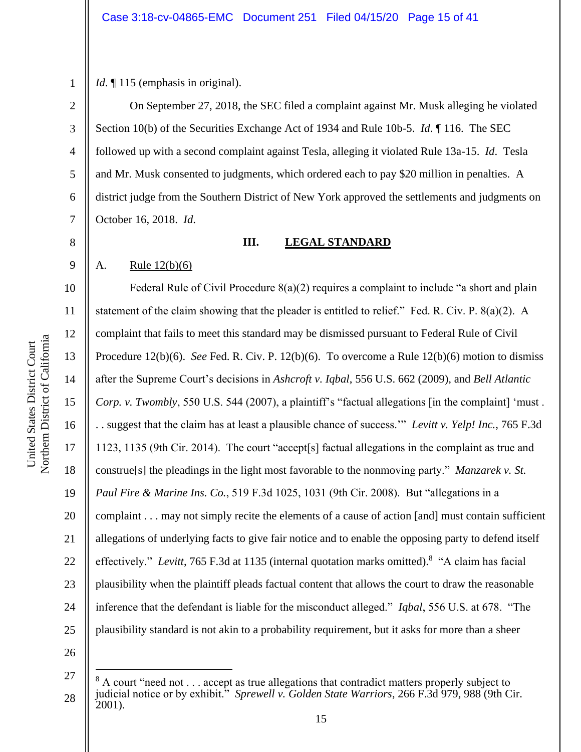*Id*. ¶ 115 (emphasis in original).

On September 27, 2018, the SEC filed a complaint against Mr. Musk alleging he violated Section 10(b) of the Securities Exchange Act of 1934 and Rule 10b-5. *Id*. ¶ 116. The SEC followed up with a second complaint against Tesla, alleging it violated Rule 13a-15. *Id*. Tesla and Mr. Musk consented to judgments, which ordered each to pay \$20 million in penalties. A district judge from the Southern District of New York approved the settlements and judgments on October 16, 2018. *Id*.

# 8

1

2

3

4

5

6

7

9

11

12

13

14

17

18

19

21

22

23

# **III. LEGAL STANDARD**

### A. Rule 12(b)(6)

10 15 16 20 24 Federal Rule of Civil Procedure 8(a)(2) requires a complaint to include "a short and plain statement of the claim showing that the pleader is entitled to relief." Fed. R. Civ. P. 8(a)(2). A complaint that fails to meet this standard may be dismissed pursuant to Federal Rule of Civil Procedure 12(b)(6). *See* Fed. R. Civ. P. 12(b)(6). To overcome a Rule 12(b)(6) motion to dismiss after the Supreme Court's decisions in *Ashcroft v. Iqbal*, 556 U.S. 662 (2009), and *Bell Atlantic Corp. v. Twombly*, 550 U.S. 544 (2007), a plaintiff's "factual allegations [in the complaint] 'must . . . suggest that the claim has at least a plausible chance of success.'" *Levitt v. Yelp! Inc.*, 765 F.3d 1123, 1135 (9th Cir. 2014). The court "accept[s] factual allegations in the complaint as true and construe[s] the pleadings in the light most favorable to the nonmoving party." *Manzarek v. St. Paul Fire & Marine Ins. Co.*, 519 F.3d 1025, 1031 (9th Cir. 2008). But "allegations in a complaint . . . may not simply recite the elements of a cause of action [and] must contain sufficient allegations of underlying facts to give fair notice and to enable the opposing party to defend itself effectively." Levitt, 765 F.3d at 1135 (internal quotation marks omitted).<sup>8</sup> "A claim has facial plausibility when the plaintiff pleads factual content that allows the court to draw the reasonable inference that the defendant is liable for the misconduct alleged." *Iqbal*, 556 U.S. at 678. "The plausibility standard is not akin to a probability requirement, but it asks for more than a sheer

26

<sup>27</sup> 28  $8$  A court "need not . . . accept as true allegations that contradict matters properly subject to judicial notice or by exhibit.<sup>3</sup> *Sprewell v. Golden State Warriors*, 266 F.3d 979, 988 (9th Cir.  $2001$ ).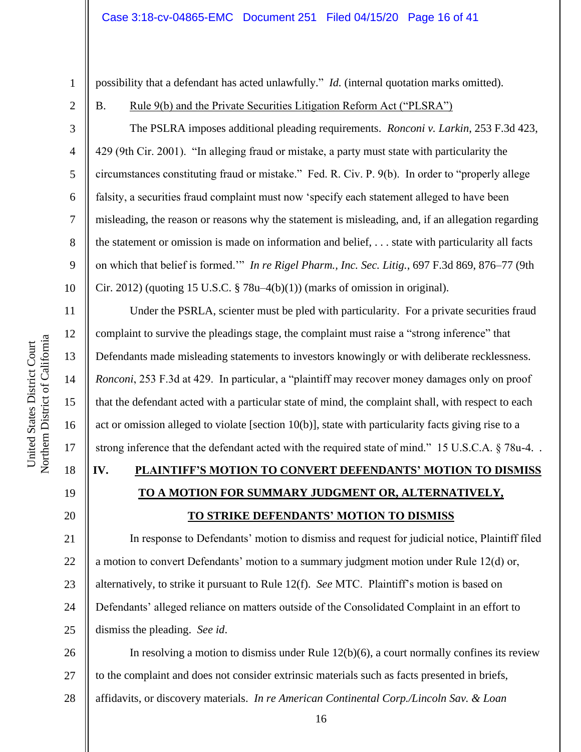4

5

6

7

8

9

10

11

12

13

14

15

16

17

20

21

22

23

24

25

1

possibility that a defendant has acted unlawfully." *Id.* (internal quotation marks omitted).

B. Rule 9(b) and the Private Securities Litigation Reform Act ("PLSRA")

The PSLRA imposes additional pleading requirements. *Ronconi v. Larkin*, 253 F.3d 423, 429 (9th Cir. 2001). "In alleging fraud or mistake, a party must state with particularity the circumstances constituting fraud or mistake." Fed. R. Civ. P. 9(b). In order to "properly allege falsity, a securities fraud complaint must now 'specify each statement alleged to have been misleading, the reason or reasons why the statement is misleading, and, if an allegation regarding the statement or omission is made on information and belief, . . . state with particularity all facts on which that belief is formed.'" *In re Rigel Pharm., Inc. Sec. Litig.*, 697 F.3d 869, 876–77 (9th Cir. 2012) (quoting 15 U.S.C.  $\S$  78u–4(b)(1)) (marks of omission in original).

Under the PSRLA, scienter must be pled with particularity. For a private securities fraud complaint to survive the pleadings stage, the complaint must raise a "strong inference" that Defendants made misleading statements to investors knowingly or with deliberate recklessness. *Ronconi*, 253 F.3d at 429. In particular, a "plaintiff may recover money damages only on proof that the defendant acted with a particular state of mind, the complaint shall, with respect to each act or omission alleged to violate [section 10(b)], state with particularity facts giving rise to a strong inference that the defendant acted with the required state of mind." 15 U.S.C.A. § 78u-4. *.*

18 19

# **IV. PLAINTIFF'S MOTION TO CONVERT DEFENDANTS' MOTION TO DISMISS TO A MOTION FOR SUMMARY JUDGMENT OR, ALTERNATIVELY, TO STRIKE DEFENDANTS' MOTION TO DISMISS**

In response to Defendants' motion to dismiss and request for judicial notice, Plaintiff filed a motion to convert Defendants' motion to a summary judgment motion under Rule 12(d) or, alternatively, to strike it pursuant to Rule 12(f). *See* MTC. Plaintiff's motion is based on Defendants' alleged reliance on matters outside of the Consolidated Complaint in an effort to dismiss the pleading. *See id*.

26 27 28 In resolving a motion to dismiss under Rule  $12(b)(6)$ , a court normally confines its review to the complaint and does not consider extrinsic materials such as facts presented in briefs, affidavits, or discovery materials. *In re American Continental Corp./Lincoln Sav. & Loan*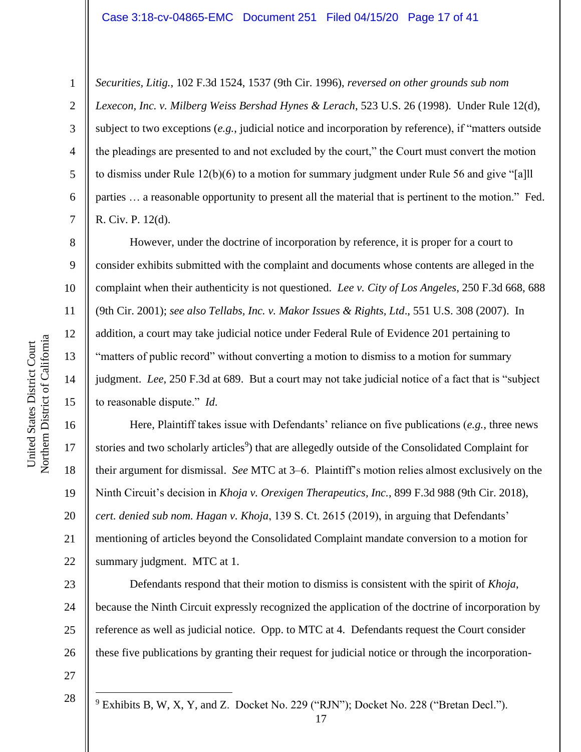*Securities, Litig.*, 102 F.3d 1524, 1537 (9th Cir. 1996), *reversed on other grounds sub nom Lexecon, Inc. v. Milberg Weiss Bershad Hynes & Lerach*, 523 U.S. 26 (1998). Under Rule 12(d), subject to two exceptions (*e.g.*, judicial notice and incorporation by reference), if "matters outside the pleadings are presented to and not excluded by the court," the Court must convert the motion to dismiss under Rule 12(b)(6) to a motion for summary judgment under Rule 56 and give "[a]ll parties … a reasonable opportunity to present all the material that is pertinent to the motion." Fed. R. Civ. P. 12(d).

However, under the doctrine of incorporation by reference, it is proper for a court to consider exhibits submitted with the complaint and documents whose contents are alleged in the complaint when their authenticity is not questioned. *Lee v. City of Los Angeles*, 250 F.3d 668, 688 (9th Cir. 2001); *see also Tellabs, Inc. v. Makor Issues & Rights, Ltd*., 551 U.S. 308 (2007). In addition, a court may take judicial notice under Federal Rule of Evidence 201 pertaining to "matters of public record" without converting a motion to dismiss to a motion for summary judgment. *Lee*, 250 F.3d at 689. But a court may not take judicial notice of a fact that is "subject to reasonable dispute." *Id*.

Here, Plaintiff takes issue with Defendants' reliance on five publications (*e.g.*, three news stories and two scholarly articles<sup>9</sup>) that are allegedly outside of the Consolidated Complaint for their argument for dismissal. *See* MTC at 3–6. Plaintiff's motion relies almost exclusively on the Ninth Circuit's decision in *Khoja v. Orexigen Therapeutics, Inc.*, 899 F.3d 988 (9th Cir. 2018), *cert. denied sub nom. Hagan v. Khoja*, 139 S. Ct. 2615 (2019), in arguing that Defendants' mentioning of articles beyond the Consolidated Complaint mandate conversion to a motion for summary judgment. MTC at 1.

23 24 25 26 Defendants respond that their motion to dismiss is consistent with the spirit of *Khoja*, because the Ninth Circuit expressly recognized the application of the doctrine of incorporation by reference as well as judicial notice. Opp. to MTC at 4. Defendants request the Court consider these five publications by granting their request for judicial notice or through the incorporation-

27

28

<sup>9</sup> Exhibits B, W, X, Y, and Z. Docket No. 229 ("RJN"); Docket No. 228 ("Bretan Decl.").

17

1

2

3

4

5

6

7

8

9

10

11

12

13

14

15

16

17

18

19

20

21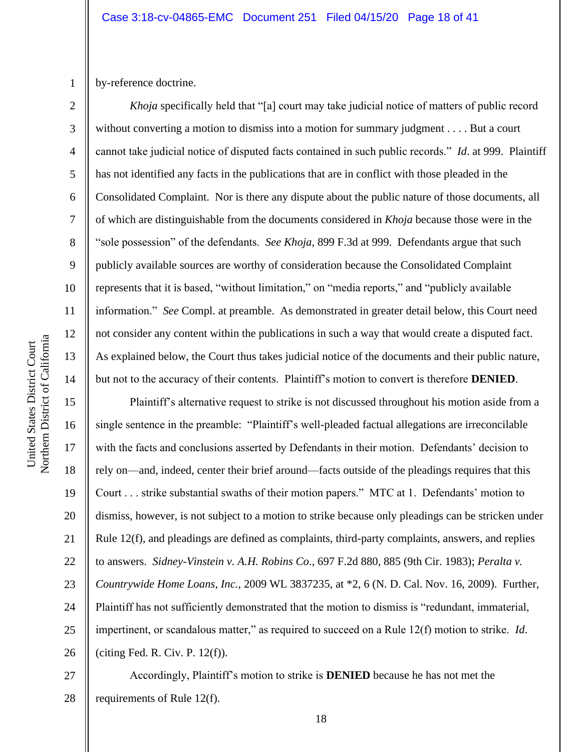1 by-reference doctrine.

2

3

4

5

6

7

8

9

10

11

12

13

14

15

17

18

19

21

23

25

*Khoja* specifically held that "[a] court may take judicial notice of matters of public record without converting a motion to dismiss into a motion for summary judgment . . . . But a court cannot take judicial notice of disputed facts contained in such public records." *Id*. at 999. Plaintiff has not identified any facts in the publications that are in conflict with those pleaded in the Consolidated Complaint. Nor is there any dispute about the public nature of those documents, all of which are distinguishable from the documents considered in *Khoja* because those were in the "sole possession" of the defendants. *See Khoja*, 899 F.3d at 999. Defendants argue that such publicly available sources are worthy of consideration because the Consolidated Complaint represents that it is based, "without limitation," on "media reports," and "publicly available information." *See* Compl. at preamble. As demonstrated in greater detail below, this Court need not consider any content within the publications in such a way that would create a disputed fact. As explained below, the Court thus takes judicial notice of the documents and their public nature, but not to the accuracy of their contents. Plaintiff's motion to convert is therefore **DENIED**.

16 20 22 24 26 Plaintiff's alternative request to strike is not discussed throughout his motion aside from a single sentence in the preamble: "Plaintiff's well-pleaded factual allegations are irreconcilable with the facts and conclusions asserted by Defendants in their motion. Defendants' decision to rely on—and, indeed, center their brief around—facts outside of the pleadings requires that this Court . . . strike substantial swaths of their motion papers." MTC at 1. Defendants' motion to dismiss, however, is not subject to a motion to strike because only pleadings can be stricken under Rule 12(f), and pleadings are defined as complaints, third-party complaints, answers, and replies to answers. *Sidney-Vinstein v. A.H. Robins Co*., 697 F.2d 880, 885 (9th Cir. 1983); *Peralta v. Countrywide Home Loans, Inc.*, 2009 WL 3837235, at \*2, 6 (N. D. Cal. Nov. 16, 2009). Further, Plaintiff has not sufficiently demonstrated that the motion to dismiss is "redundant, immaterial, impertinent, or scandalous matter," as required to succeed on a Rule 12(f) motion to strike. *Id*. (citing Fed. R. Civ. P.  $12(f)$ ).

27 28 Accordingly, Plaintiff's motion to strike is **DENIED** because he has not met the requirements of Rule 12(f).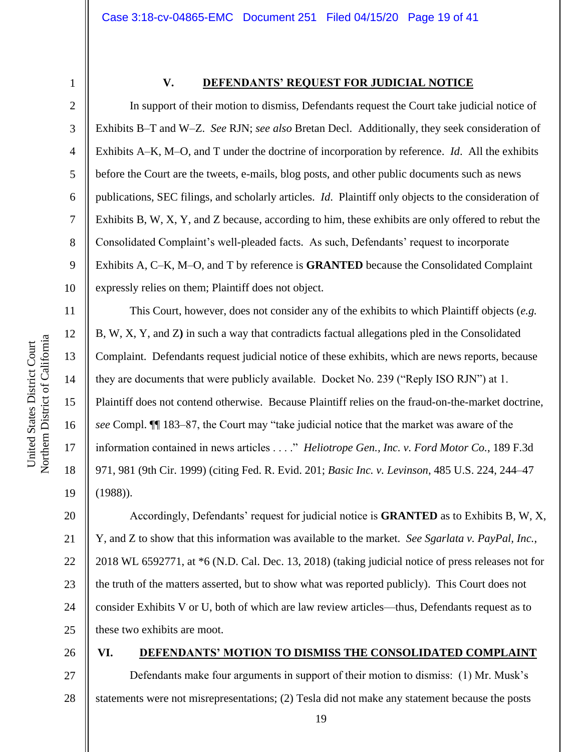4

5

6

7

8

9

10

11

12

13

14

15

16

17

18

19

1

### **V. DEFENDANTS' REQUEST FOR JUDICIAL NOTICE**

In support of their motion to dismiss, Defendants request the Court take judicial notice of Exhibits B–T and W–Z. *See* RJN; *see also* Bretan Decl. Additionally, they seek consideration of Exhibits A–K, M–O, and T under the doctrine of incorporation by reference. *Id*. All the exhibits before the Court are the tweets, e-mails, blog posts, and other public documents such as news publications, SEC filings, and scholarly articles. *Id*. Plaintiff only objects to the consideration of Exhibits B, W, X, Y, and Z because, according to him, these exhibits are only offered to rebut the Consolidated Complaint's well-pleaded facts. As such, Defendants' request to incorporate Exhibits A, C–K, M–O, and T by reference is **GRANTED** because the Consolidated Complaint expressly relies on them; Plaintiff does not object.

This Court, however, does not consider any of the exhibits to which Plaintiff objects (*e.g.* B, W, X, Y, and Z**)** in such a way that contradicts factual allegations pled in the Consolidated Complaint. Defendants request judicial notice of these exhibits, which are news reports, because they are documents that were publicly available. Docket No. 239 ("Reply ISO RJN") at 1. Plaintiff does not contend otherwise. Because Plaintiff relies on the fraud-on-the-market doctrine, *see* Compl. ¶¶ 183–87, the Court may "take judicial notice that the market was aware of the information contained in news articles . . . ." *Heliotrope Gen., Inc. v. Ford Motor Co.*, 189 F.3d 971, 981 (9th Cir. 1999) (citing Fed. R. Evid. 201; *Basic Inc. v. Levinson*, 485 U.S. 224, 244–47 (1988)).

20 21 22 23 24 25 Accordingly, Defendants' request for judicial notice is **GRANTED** as to Exhibits B, W, X, Y, and Z to show that this information was available to the market. *See Sgarlata v. PayPal, Inc.*, 2018 WL 6592771, at \*6 (N.D. Cal. Dec. 13, 2018) (taking judicial notice of press releases not for the truth of the matters asserted, but to show what was reported publicly). This Court does not consider Exhibits V or U, both of which are law review articles—thus, Defendants request as to these two exhibits are moot.

26

# **VI. DEFENDANTS' MOTION TO DISMISS THE CONSOLIDATED COMPLAINT**

27 28 Defendants make four arguments in support of their motion to dismiss: (1) Mr. Musk's statements were not misrepresentations; (2) Tesla did not make any statement because the posts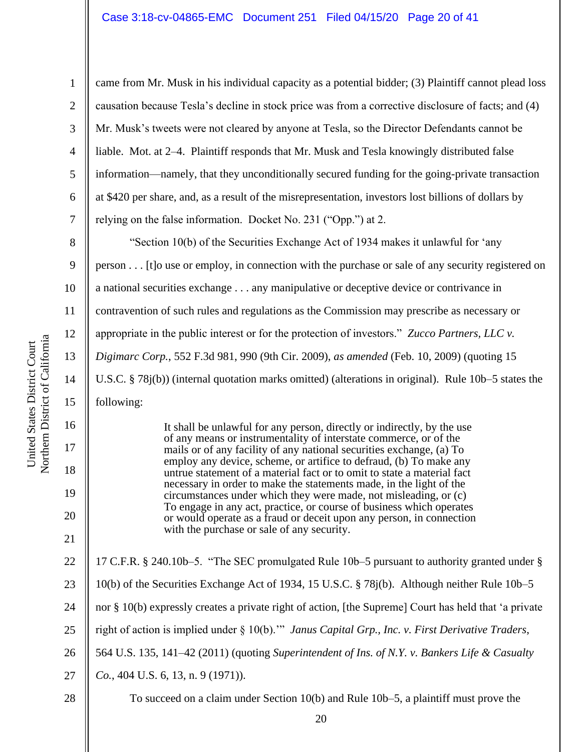2

3

4

5

6

7

8

9

18

19

20

21

28

came from Mr. Musk in his individual capacity as a potential bidder; (3) Plaintiff cannot plead loss causation because Tesla's decline in stock price was from a corrective disclosure of facts; and (4) Mr. Musk's tweets were not cleared by anyone at Tesla, so the Director Defendants cannot be liable. Mot. at 2–4. Plaintiff responds that Mr. Musk and Tesla knowingly distributed false information—namely, that they unconditionally secured funding for the going-private transaction at \$420 per share, and, as a result of the misrepresentation, investors lost billions of dollars by relying on the false information. Docket No. 231 ("Opp.") at 2.

"Section 10(b) of the Securities Exchange Act of 1934 makes it unlawful for 'any person . . . [t]o use or employ, in connection with the purchase or sale of any security registered on a national securities exchange . . . any manipulative or deceptive device or contrivance in contravention of such rules and regulations as the Commission may prescribe as necessary or appropriate in the public interest or for the protection of investors." *Zucco Partners, LLC v. Digimarc Corp.*, 552 F.3d 981, 990 (9th Cir. 2009), *as amended* (Feb. 10, 2009) (quoting 15 U.S.C. § 78j(b)) (internal quotation marks omitted) (alterations in original). Rule 10b–5 states the following:

> It shall be unlawful for any person, directly or indirectly, by the use of any means or instrumentality of interstate commerce, or of the mails or of any facility of any national securities exchange, (a) To employ any device, scheme, or artifice to defraud, (b) To make any untrue statement of a material fact or to omit to state a material fact necessary in order to make the statements made, in the light of the circumstances under which they were made, not misleading, or (c) To engage in any act, practice, or course of business which operates or would operate as a fraud or deceit upon any person, in connection with the purchase or sale of any security.

22 17 C.F.R. § 240.10b–5. "The SEC promulgated Rule 10b–5 pursuant to authority granted under §

- 23 10(b) of the Securities Exchange Act of 1934, 15 U.S.C. § 78j(b). Although neither Rule 10b–5
- 24 nor § 10(b) expressly creates a private right of action, [the Supreme] Court has held that 'a private
- 25 right of action is implied under § 10(b).'" *Janus Capital Grp., Inc. v. First Derivative Traders*,
- 26 564 U.S. 135, 141–42 (2011) (quoting *Superintendent of Ins. of N.Y. v. Bankers Life & Casualty*
- 27 *Co.*, 404 U.S. 6, 13, n. 9 (1971)).

To succeed on a claim under Section 10(b) and Rule 10b–5, a plaintiff must prove the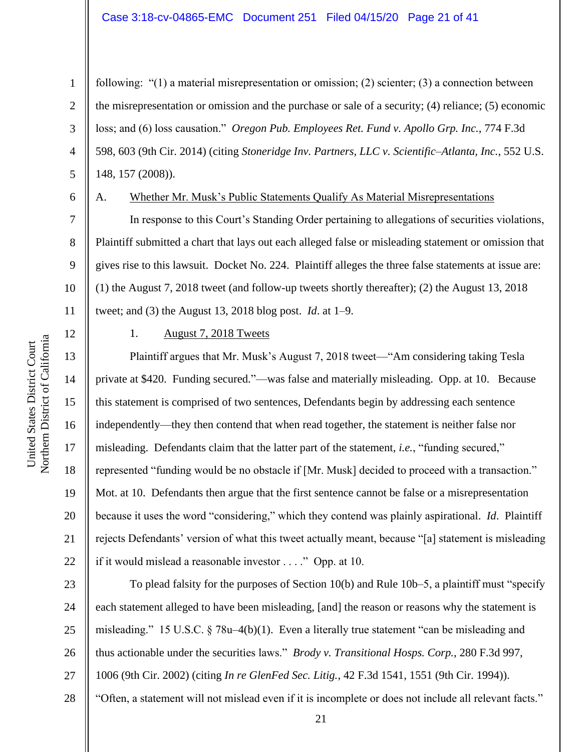1 2 3 4 5 following: "(1) a material misrepresentation or omission; (2) scienter; (3) a connection between the misrepresentation or omission and the purchase or sale of a security; (4) reliance; (5) economic loss; and (6) loss causation." *Oregon Pub. Employees Ret. Fund v. Apollo Grp. Inc.*, 774 F.3d 598, 603 (9th Cir. 2014) (citing *Stoneridge Inv. Partners, LLC v. Scientific–Atlanta, Inc.*, 552 U.S. 148, 157 (2008)).

6

7

8

9

10

11

13

14

15

16

17

18

19

20

21

22

### A. Whether Mr. Musk's Public Statements Qualify As Material Misrepresentations

In response to this Court's Standing Order pertaining to allegations of securities violations, Plaintiff submitted a chart that lays out each alleged false or misleading statement or omission that gives rise to this lawsuit. Docket No. 224. Plaintiff alleges the three false statements at issue are: (1) the August 7, 2018 tweet (and follow-up tweets shortly thereafter); (2) the August 13, 2018 tweet; and (3) the August 13, 2018 blog post. *Id*. at 1–9.

12

### 1. August 7, 2018 Tweets

Plaintiff argues that Mr. Musk's August 7, 2018 tweet—"Am considering taking Tesla private at \$420. Funding secured."—was false and materially misleading. Opp. at 10. Because this statement is comprised of two sentences, Defendants begin by addressing each sentence independently—they then contend that when read together, the statement is neither false nor misleading. Defendants claim that the latter part of the statement, *i.e.*, "funding secured," represented "funding would be no obstacle if [Mr. Musk] decided to proceed with a transaction." Mot. at 10. Defendants then argue that the first sentence cannot be false or a misrepresentation because it uses the word "considering," which they contend was plainly aspirational. *Id*. Plaintiff rejects Defendants' version of what this tweet actually meant, because "[a] statement is misleading if it would mislead a reasonable investor . . . ." Opp. at 10.

23 24 25 26 27 28 To plead falsity for the purposes of Section 10(b) and Rule 10b–5, a plaintiff must "specify each statement alleged to have been misleading, [and] the reason or reasons why the statement is misleading." 15 U.S.C. § 78u–4(b)(1). Even a literally true statement "can be misleading and thus actionable under the securities laws." *Brody v. Transitional Hosps. Corp.*, 280 F.3d 997, 1006 (9th Cir. 2002) (citing *In re GlenFed Sec. Litig.*, 42 F.3d 1541, 1551 (9th Cir. 1994)). "Often, a statement will not mislead even if it is incomplete or does not include all relevant facts."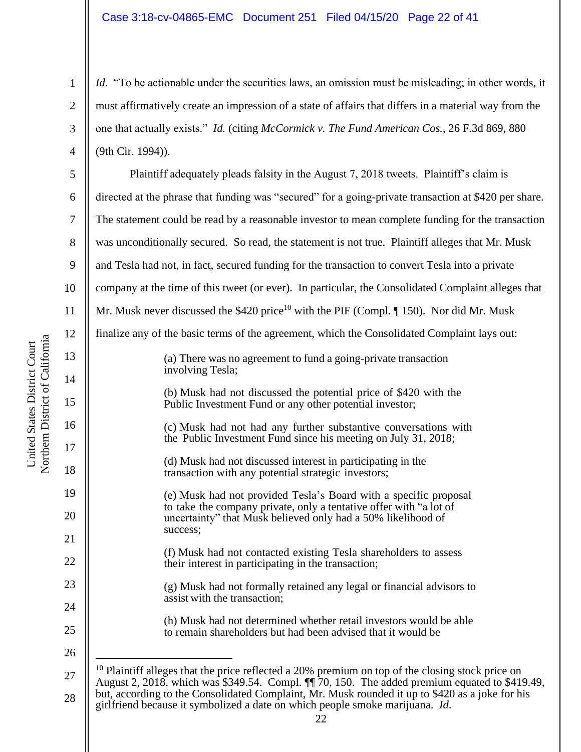*Id.* "To be actionable under the securities laws, an omission must be misleading; in other words, it must affirmatively create an impression of a state of affairs that differs in a material way from the one that actually exists." *Id.* (citing *McCormick v. The Fund American Cos.*, 26 F.3d 869, 880 (9th Cir. 1994)).

5 6 7 8 9 10 11 12 13 14 15 16 17 18 19 20 21 22 23 24 25 26 Plaintiff adequately pleads falsity in the August 7, 2018 tweets. Plaintiff's claim is directed at the phrase that funding was "secured" for a going-private transaction at \$420 per share. The statement could be read by a reasonable investor to mean complete funding for the transaction was unconditionally secured. So read, the statement is not true. Plaintiff alleges that Mr. Musk and Tesla had not, in fact, secured funding for the transaction to convert Tesla into a private company at the time of this tweet (or ever). In particular, the Consolidated Complaint alleges that Mr. Musk never discussed the  $$420$  price<sup>10</sup> with the PIF (Compl. ¶ 150). Nor did Mr. Musk finalize any of the basic terms of the agreement, which the Consolidated Complaint lays out: (a) There was no agreement to fund a going-private transaction involving Tesla; (b) Musk had not discussed the potential price of \$420 with the Public Investment Fund or any other potential investor; (c) Musk had not had any further substantive conversations with the Public Investment Fund since his meeting on July 31, 2018; (d) Musk had not discussed interest in participating in the transaction with any potential strategic investors; (e) Musk had not provided Tesla's Board with a specific proposal to take the company private, only a tentative offer with "a lot of uncertainty" that Musk believed only had a 50% likelihood of success; (f) Musk had not contacted existing Tesla shareholders to assess their interest in participating in the transaction; (g) Musk had not formally retained any legal or financial advisors to assist with the transaction; (h) Musk had not determined whether retail investors would be able to remain shareholders but had been advised that it would be  $10$  Plaintiff alleges that the price reflected a 20% premium on top of the closing stock price on

1

2

3

<sup>27</sup> 28 August 2, 2018, which was \$349.54. Compl. ¶¶ 70, 150. The added premium equated to \$419.49, but, according to the Consolidated Complaint, Mr. Musk rounded it up to \$420 as a joke for his girlfriend because it symbolized a date on which people smoke marijuana. *Id*.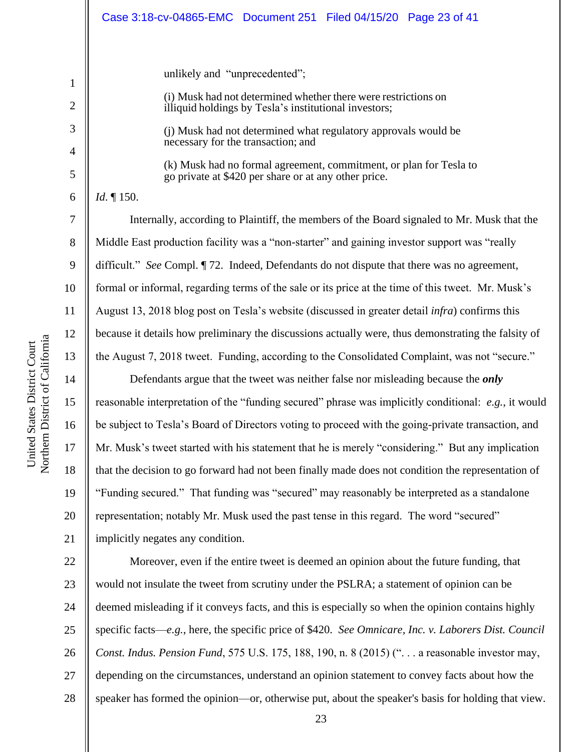unlikely and "unprecedented";

(i) Musk had not determined whether there were restrictions on illiquid holdings by Tesla's institutional investors;

(j) Musk had not determined what regulatory approvals would be necessary for the transaction; and

(k) Musk had no formal agreement, commitment, or plan for Tesla to go private at \$420 per share or at any other price.

*Id*. ¶ 150.

1

2

3

4

5

6

7

8

9

10

11

12

13

14

15

16

17

18

19

20

21

Internally, according to Plaintiff, the members of the Board signaled to Mr. Musk that the Middle East production facility was a "non-starter" and gaining investor support was "really difficult." *See* Compl. ¶ 72. Indeed, Defendants do not dispute that there was no agreement, formal or informal, regarding terms of the sale or its price at the time of this tweet. Mr. Musk's August 13, 2018 blog post on Tesla's website (discussed in greater detail *infra*) confirms this because it details how preliminary the discussions actually were, thus demonstrating the falsity of the August 7, 2018 tweet. Funding, according to the Consolidated Complaint, was not "secure."

Defendants argue that the tweet was neither false nor misleading because the *only* reasonable interpretation of the "funding secured" phrase was implicitly conditional: *e.g.*, it would be subject to Tesla's Board of Directors voting to proceed with the going-private transaction, and Mr. Musk's tweet started with his statement that he is merely "considering." But any implication that the decision to go forward had not been finally made does not condition the representation of "Funding secured." That funding was "secured" may reasonably be interpreted as a standalone representation; notably Mr. Musk used the past tense in this regard. The word "secured" implicitly negates any condition.

22 23 24 25 26 27 28 Moreover, even if the entire tweet is deemed an opinion about the future funding, that would not insulate the tweet from scrutiny under the PSLRA; a statement of opinion can be deemed misleading if it conveys facts, and this is especially so when the opinion contains highly specific facts—*e.g.*, here, the specific price of \$420. *See Omnicare, Inc. v. Laborers Dist. Council Const. Indus. Pension Fund*, 575 U.S. 175, 188, 190, n. 8 (2015) (". . . a reasonable investor may, depending on the circumstances, understand an opinion statement to convey facts about how the speaker has formed the opinion—or, otherwise put, about the speaker's basis for holding that view.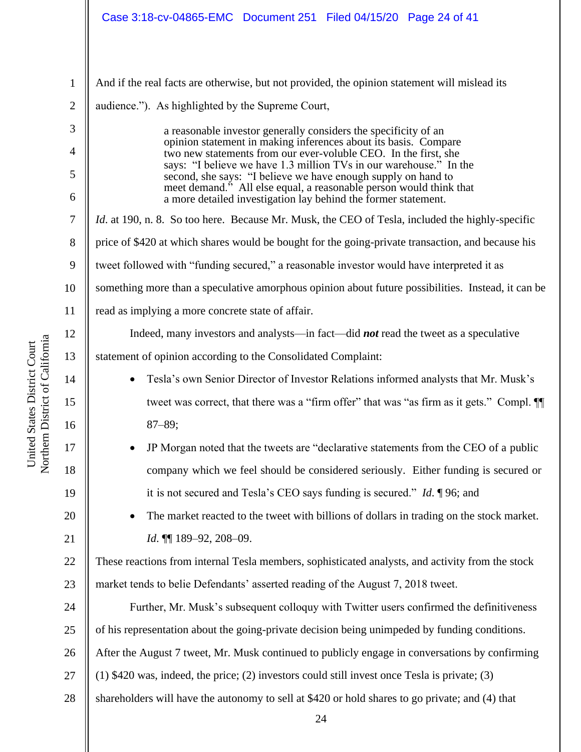| $\mathbf{1}$   | And if the real facts are otherwise, but not provided, the opinion statement will mislead its                                                                                                            |
|----------------|----------------------------------------------------------------------------------------------------------------------------------------------------------------------------------------------------------|
| $\overline{2}$ | audience."). As highlighted by the Supreme Court,                                                                                                                                                        |
| 3              | a reasonable investor generally considers the specificity of an                                                                                                                                          |
| $\overline{4}$ | opinion statement in making inferences about its basis. Compare<br>two new statements from our ever-voluble CEO. In the first, she<br>says: "I believe we have 1.3 million TVs in our warehouse." In the |
| 5<br>6         | second, she says: "I believe we have enough supply on hand to<br>meet demand." All else equal, a reasonable person would think that<br>a more detailed investigation lay behind the former statement.    |
| $\tau$         | <i>Id.</i> at 190, n. 8. So too here. Because Mr. Musk, the CEO of Tesla, included the highly-specific                                                                                                   |
| 8              | price of \$420 at which shares would be bought for the going-private transaction, and because his                                                                                                        |
| 9              | tweet followed with "funding secured," a reasonable investor would have interpreted it as                                                                                                                |
| 10             | something more than a speculative amorphous opinion about future possibilities. Instead, it can be                                                                                                       |
| 11             | read as implying a more concrete state of affair.                                                                                                                                                        |
| 12             | Indeed, many investors and analysts—in fact—did <i>not</i> read the tweet as a speculative                                                                                                               |
| 13             | statement of opinion according to the Consolidated Complaint:                                                                                                                                            |
| 14             | Tesla's own Senior Director of Investor Relations informed analysts that Mr. Musk's<br>$\bullet$                                                                                                         |
| 15             | tweet was correct, that there was a "firm offer" that was "as firm as it gets." Compl. II                                                                                                                |
| 16             | $87 - 89;$                                                                                                                                                                                               |
| 17             | JP Morgan noted that the tweets are "declarative statements from the CEO of a public<br>$\bullet$                                                                                                        |
| 18             | company which we feel should be considered seriously. Either funding is secured or                                                                                                                       |
| 19             | it is not secured and Tesla's CEO says funding is secured." <i>Id.</i> $\llbracket 96$ ; and                                                                                                             |
| 20             | The market reacted to the tweet with billions of dollars in trading on the stock market.<br>$\bullet$                                                                                                    |
| 21             | Id. II 189-92, 208-09.                                                                                                                                                                                   |
| 22             | These reactions from internal Tesla members, sophisticated analysts, and activity from the stock                                                                                                         |
| 23             | market tends to belie Defendants' asserted reading of the August 7, 2018 tweet.                                                                                                                          |
| 24             | Further, Mr. Musk's subsequent colloquy with Twitter users confirmed the definitiveness                                                                                                                  |
| 25             | of his representation about the going-private decision being unimpeded by funding conditions.                                                                                                            |
| 26             | After the August 7 tweet, Mr. Musk continued to publicly engage in conversations by confirming                                                                                                           |
| 27             | $(1)$ \$420 was, indeed, the price; (2) investors could still invest once Tesla is private; (3)                                                                                                          |
| 28             | shareholders will have the autonomy to sell at \$420 or hold shares to go private; and (4) that                                                                                                          |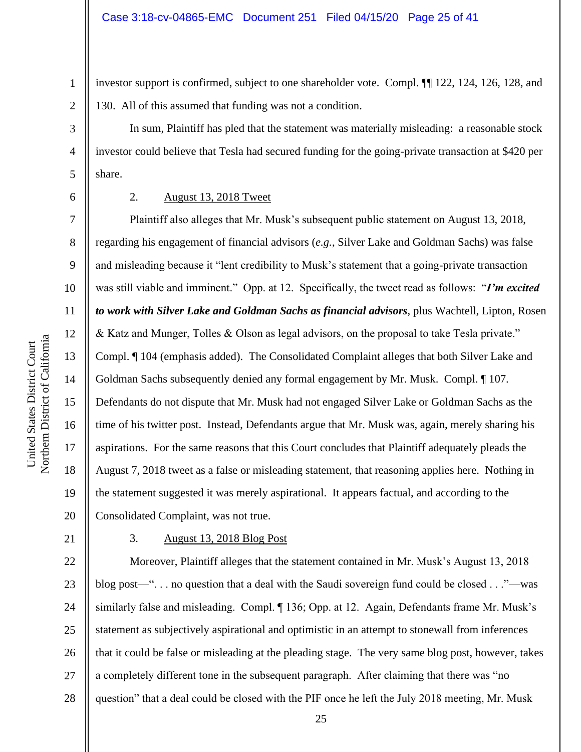investor support is confirmed, subject to one shareholder vote. Compl. ¶¶ 122, 124, 126, 128, and 130. All of this assumed that funding was not a condition.

In sum, Plaintiff has pled that the statement was materially misleading: a reasonable stock investor could believe that Tesla had secured funding for the going-private transaction at \$420 per share.

1

2

3

4

5

6

7

8

9

11

12

13

14

15

17

18

19

21

### 2. August 13, 2018 Tweet

10 16 20 Plaintiff also alleges that Mr. Musk's subsequent public statement on August 13, 2018, regarding his engagement of financial advisors (*e.g.*, Silver Lake and Goldman Sachs) was false and misleading because it "lent credibility to Musk's statement that a going-private transaction was still viable and imminent." Opp. at 12. Specifically, the tweet read as follows: "*I'm excited to work with Silver Lake and Goldman Sachs as financial advisors*, plus Wachtell, Lipton, Rosen & Katz and Munger, Tolles & Olson as legal advisors, on the proposal to take Tesla private." Compl. ¶ 104 (emphasis added). The Consolidated Complaint alleges that both Silver Lake and Goldman Sachs subsequently denied any formal engagement by Mr. Musk. Compl. ¶ 107. Defendants do not dispute that Mr. Musk had not engaged Silver Lake or Goldman Sachs as the time of his twitter post. Instead, Defendants argue that Mr. Musk was, again, merely sharing his aspirations. For the same reasons that this Court concludes that Plaintiff adequately pleads the August 7, 2018 tweet as a false or misleading statement, that reasoning applies here. Nothing in the statement suggested it was merely aspirational. It appears factual, and according to the Consolidated Complaint, was not true.

Northern District of California Northern District of California United States District Court United States District Court

# 3. August 13, 2018 Blog Post

22 23 24 25 26 27 28 Moreover, Plaintiff alleges that the statement contained in Mr. Musk's August 13, 2018 blog post—". . . no question that a deal with the Saudi sovereign fund could be closed . . ."—was similarly false and misleading. Compl. ¶ 136; Opp. at 12. Again, Defendants frame Mr. Musk's statement as subjectively aspirational and optimistic in an attempt to stonewall from inferences that it could be false or misleading at the pleading stage. The very same blog post, however, takes a completely different tone in the subsequent paragraph. After claiming that there was "no question" that a deal could be closed with the PIF once he left the July 2018 meeting, Mr. Musk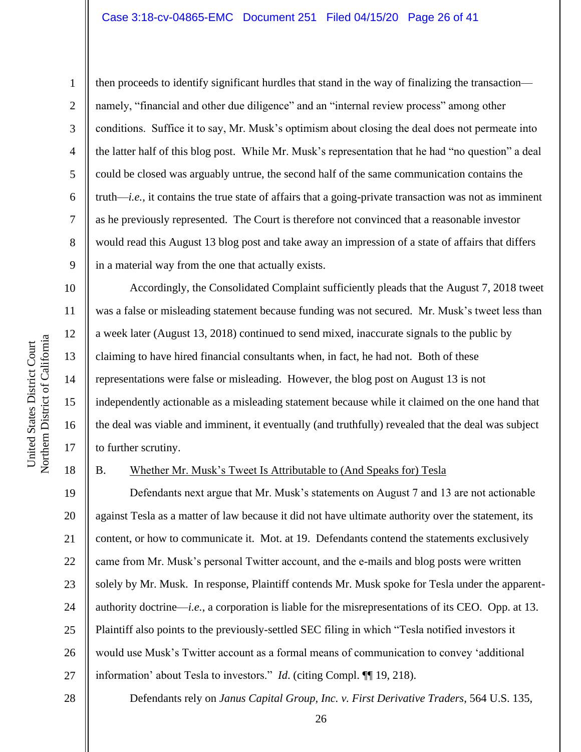then proceeds to identify significant hurdles that stand in the way of finalizing the transaction namely, "financial and other due diligence" and an "internal review process" among other conditions. Suffice it to say, Mr. Musk's optimism about closing the deal does not permeate into the latter half of this blog post. While Mr. Musk's representation that he had "no question" a deal could be closed was arguably untrue, the second half of the same communication contains the truth—*i.e.*, it contains the true state of affairs that a going-private transaction was not as imminent as he previously represented. The Court is therefore not convinced that a reasonable investor would read this August 13 blog post and take away an impression of a state of affairs that differs in a material way from the one that actually exists.

Accordingly, the Consolidated Complaint sufficiently pleads that the August 7, 2018 tweet was a false or misleading statement because funding was not secured. Mr. Musk's tweet less than a week later (August 13, 2018) continued to send mixed, inaccurate signals to the public by claiming to have hired financial consultants when, in fact, he had not. Both of these representations were false or misleading. However, the blog post on August 13 is not independently actionable as a misleading statement because while it claimed on the one hand that the deal was viable and imminent, it eventually (and truthfully) revealed that the deal was subject to further scrutiny.

18

1

2

3

4

5

6

7

8

9

10

11

12

13

14

15

16

17

# B. Whether Mr. Musk's Tweet Is Attributable to (And Speaks for) Tesla

19 20 21 22 23 24 25 26 27 Defendants next argue that Mr. Musk's statements on August 7 and 13 are not actionable against Tesla as a matter of law because it did not have ultimate authority over the statement, its content, or how to communicate it. Mot. at 19. Defendants contend the statements exclusively came from Mr. Musk's personal Twitter account, and the e-mails and blog posts were written solely by Mr. Musk. In response, Plaintiff contends Mr. Musk spoke for Tesla under the apparentauthority doctrine—*i.e.*, a corporation is liable for the misrepresentations of its CEO. Opp. at 13. Plaintiff also points to the previously-settled SEC filing in which "Tesla notified investors it would use Musk's Twitter account as a formal means of communication to convey 'additional information' about Tesla to investors." *Id*. (citing Compl. ¶¶ 19, 218).

28

Northern District of California Northern District of California United States District Court United States District Court

26

Defendants rely on *Janus Capital Group, Inc. v. First Derivative Traders*, 564 U.S. 135,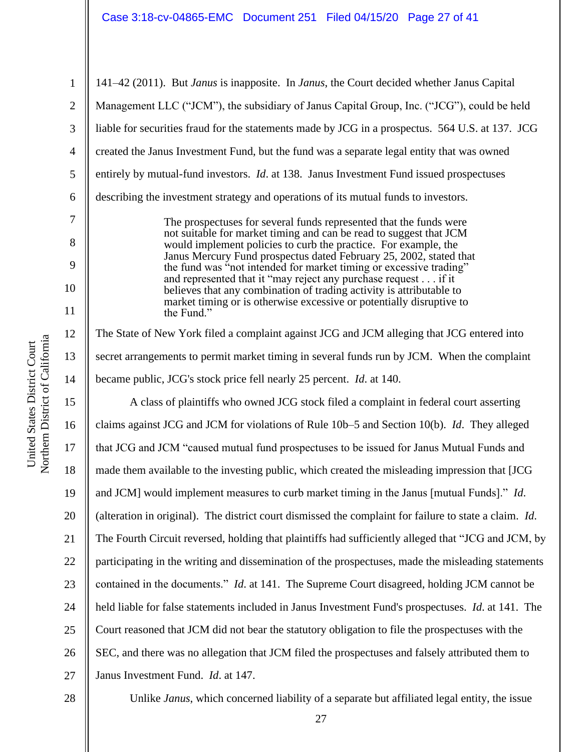1 2 3 4 5 6 7 8 9 10 11 12 13 14 15 16 17 18 19 20 21 22 23 24 25 26 27 141–42 (2011). But *Janus* is inapposite. In *Janus*, the Court decided whether Janus Capital Management LLC ("JCM"), the subsidiary of Janus Capital Group, Inc. ("JCG"), could be held liable for securities fraud for the statements made by JCG in a prospectus. 564 U.S. at 137. JCG created the Janus Investment Fund, but the fund was a separate legal entity that was owned entirely by mutual-fund investors. *Id*. at 138. Janus Investment Fund issued prospectuses describing the investment strategy and operations of its mutual funds to investors. The prospectuses for several funds represented that the funds were not suitable for market timing and can be read to suggest that JCM would implement policies to curb the practice. For example, the Janus Mercury Fund prospectus dated February 25, 2002, stated that the fund was "not intended for market timing or excessive trading" and represented that it "may reject any purchase request . . . if it believes that any combination of trading activity is attributable to market timing or is otherwise excessive or potentially disruptive to the Fund." The State of New York filed a complaint against JCG and JCM alleging that JCG entered into secret arrangements to permit market timing in several funds run by JCM. When the complaint became public, JCG's stock price fell nearly 25 percent. *Id*. at 140. A class of plaintiffs who owned JCG stock filed a complaint in federal court asserting claims against JCG and JCM for violations of Rule 10b–5 and Section 10(b). *Id*. They alleged that JCG and JCM "caused mutual fund prospectuses to be issued for Janus Mutual Funds and made them available to the investing public, which created the misleading impression that [JCG and JCM] would implement measures to curb market timing in the Janus [mutual Funds]." *Id*. (alteration in original). The district court dismissed the complaint for failure to state a claim. *Id*. The Fourth Circuit reversed, holding that plaintiffs had sufficiently alleged that "JCG and JCM, by participating in the writing and dissemination of the prospectuses, made the misleading statements contained in the documents." *Id*. at 141. The Supreme Court disagreed, holding JCM cannot be held liable for false statements included in Janus Investment Fund's prospectuses. *Id*. at 141. The Court reasoned that JCM did not bear the statutory obligation to file the prospectuses with the SEC, and there was no allegation that JCM filed the prospectuses and falsely attributed them to Janus Investment Fund. *Id*. at 147. Unlike *Janus*, which concerned liability of a separate but affiliated legal entity, the issue

28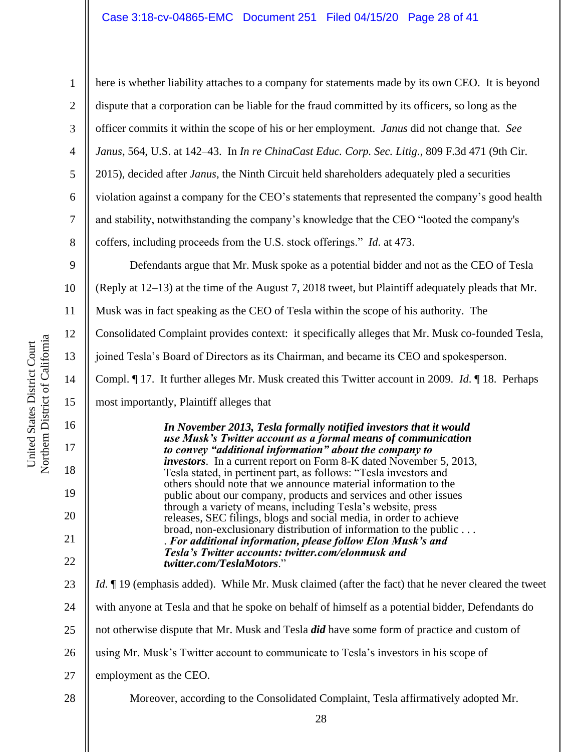1 2 3 4 5 6 7 8 9 10 11 12 13 14 15 16 17 18 19 20 21 22 23 here is whether liability attaches to a company for statements made by its own CEO. It is beyond dispute that a corporation can be liable for the fraud committed by its officers, so long as the officer commits it within the scope of his or her employment. *Janus* did not change that. *See Janus*, 564, U.S. at 142–43. In *In re ChinaCast Educ. Corp. Sec. Litig.*, 809 F.3d 471 (9th Cir. 2015), decided after *Janus*, the Ninth Circuit held shareholders adequately pled a securities violation against a company for the CEO's statements that represented the company's good health and stability, notwithstanding the company's knowledge that the CEO "looted the company's coffers, including proceeds from the U.S. stock offerings." *Id*. at 473. Defendants argue that Mr. Musk spoke as a potential bidder and not as the CEO of Tesla (Reply at 12–13) at the time of the August 7, 2018 tweet, but Plaintiff adequately pleads that Mr. Musk was in fact speaking as the CEO of Tesla within the scope of his authority. The Consolidated Complaint provides context: it specifically alleges that Mr. Musk co-founded Tesla, joined Tesla's Board of Directors as its Chairman, and became its CEO and spokesperson. Compl. ¶ 17. It further alleges Mr. Musk created this Twitter account in 2009. *Id*. ¶ 18. Perhaps most importantly, Plaintiff alleges that *In November 2013, Tesla formally notified investors that it would use Musk's Twitter account as a formal means of communication to convey "additional information" about the company to investors*. In a current report on Form 8-K dated November 5, 2013, Tesla stated, in pertinent part, as follows: "Tesla investors and others should note that we announce material information to the public about our company, products and services and other issues through a variety of means, including Tesla's website, press releases, SEC filings, blogs and social media, in order to achieve broad, non-exclusionary distribution of information to the public . . . . *For additional information, please follow Elon Musk's and Tesla's Twitter accounts: twitter.com/elonmusk and twitter.com/TeslaMotors*." *Id*. If 19 (emphasis added). While Mr. Musk claimed (after the fact) that he never cleared the tweet

24 with anyone at Tesla and that he spoke on behalf of himself as a potential bidder, Defendants do

25 not otherwise dispute that Mr. Musk and Tesla *did* have some form of practice and custom of

- 26 using Mr. Musk's Twitter account to communicate to Tesla's investors in his scope of
- 27 employment as the CEO.

28

Moreover, according to the Consolidated Complaint, Tesla affirmatively adopted Mr.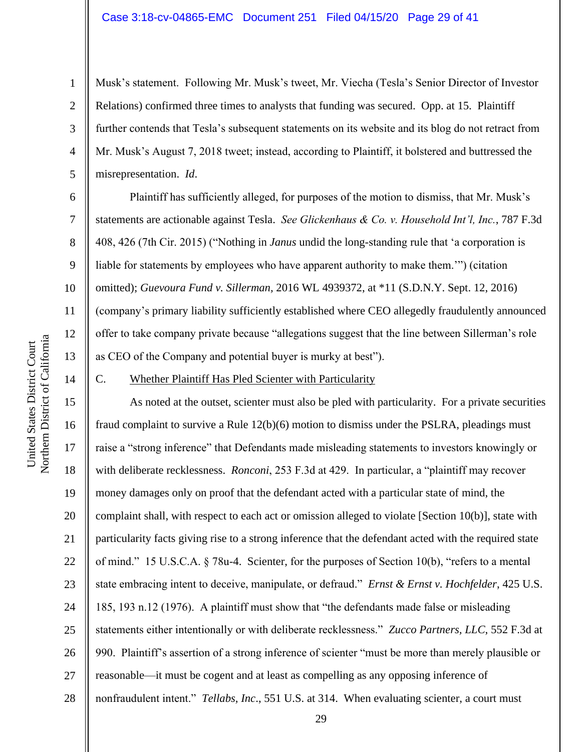### Case 3:18-cv-04865-EMC Document 251 Filed 04/15/20 Page 29 of 41

Musk's statement. Following Mr. Musk's tweet, Mr. Viecha (Tesla's Senior Director of Investor Relations) confirmed three times to analysts that funding was secured. Opp. at 15. Plaintiff further contends that Tesla's subsequent statements on its website and its blog do not retract from Mr. Musk's August 7, 2018 tweet; instead, according to Plaintiff, it bolstered and buttressed the misrepresentation. *Id*.

Plaintiff has sufficiently alleged, for purposes of the motion to dismiss, that Mr. Musk's statements are actionable against Tesla. *See Glickenhaus & Co. v. Household Int'l, Inc.*, 787 F.3d 408, 426 (7th Cir. 2015) ("Nothing in *Janus* undid the long-standing rule that 'a corporation is liable for statements by employees who have apparent authority to make them.'") (citation omitted); *Guevoura Fund v. Sillerman,* 2016 WL 4939372, at \*11 (S.D.N.Y. Sept. 12, 2016) (company's primary liability sufficiently established where CEO allegedly fraudulently announced offer to take company private because "allegations suggest that the line between Sillerman's role as CEO of the Company and potential buyer is murky at best").

### C. Whether Plaintiff Has Pled Scienter with Particularity

15 16 20 22 24 26 27 28 As noted at the outset, scienter must also be pled with particularity. For a private securities fraud complaint to survive a Rule 12(b)(6) motion to dismiss under the PSLRA, pleadings must raise a "strong inference" that Defendants made misleading statements to investors knowingly or with deliberate recklessness. *Ronconi*, 253 F.3d at 429. In particular, a "plaintiff may recover money damages only on proof that the defendant acted with a particular state of mind, the complaint shall, with respect to each act or omission alleged to violate [Section 10(b)], state with particularity facts giving rise to a strong inference that the defendant acted with the required state of mind." 15 U.S.C.A. § 78u-4. Scienter, for the purposes of Section 10(b), "refers to a mental state embracing intent to deceive, manipulate, or defraud." *Ernst & Ernst v. Hochfelder*, 425 U.S. 185, 193 n.12 (1976). A plaintiff must show that "the defendants made false or misleading statements either intentionally or with deliberate recklessness." *Zucco Partners, LLC*, 552 F.3d at 990. Plaintiff's assertion of a strong inference of scienter "must be more than merely plausible or reasonable—it must be cogent and at least as compelling as any opposing inference of nonfraudulent intent." *Tellabs, Inc*., 551 U.S. at 314. When evaluating scienter, a court must

1

2

3

4

5

6

7

8

9

10

11

12

13

14

17

18

19

21

23

25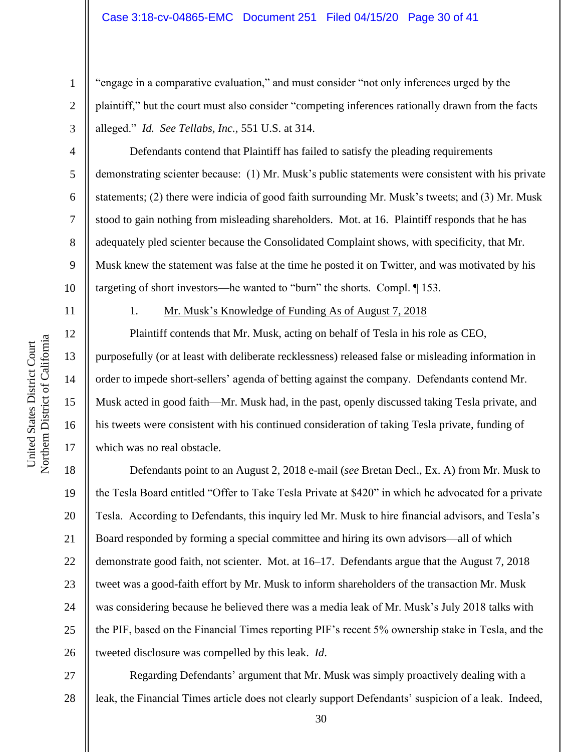"engage in a comparative evaluation," and must consider "not only inferences urged by the plaintiff," but the court must also consider "competing inferences rationally drawn from the facts alleged." *Id. See Tellabs, Inc.,* 551 U.S. at 314.

Defendants contend that Plaintiff has failed to satisfy the pleading requirements demonstrating scienter because: (1) Mr. Musk's public statements were consistent with his private statements; (2) there were indicia of good faith surrounding Mr. Musk's tweets; and (3) Mr. Musk stood to gain nothing from misleading shareholders. Mot. at 16. Plaintiff responds that he has adequately pled scienter because the Consolidated Complaint shows, with specificity, that Mr. Musk knew the statement was false at the time he posted it on Twitter, and was motivated by his targeting of short investors—he wanted to "burn" the shorts. Compl. ¶ 153.

11

12

13

14

15

16

17

10

1

2

3

4

5

6

7

8

9

1. Mr. Musk's Knowledge of Funding As of August 7, 2018

Plaintiff contends that Mr. Musk, acting on behalf of Tesla in his role as CEO, purposefully (or at least with deliberate recklessness) released false or misleading information in order to impede short-sellers' agenda of betting against the company. Defendants contend Mr. Musk acted in good faith—Mr. Musk had, in the past, openly discussed taking Tesla private, and his tweets were consistent with his continued consideration of taking Tesla private, funding of which was no real obstacle.

18 19 20 21 22 23 24 25 26 Defendants point to an August 2, 2018 e-mail (*see* Bretan Decl., Ex. A) from Mr. Musk to the Tesla Board entitled "Offer to Take Tesla Private at \$420" in which he advocated for a private Tesla. According to Defendants, this inquiry led Mr. Musk to hire financial advisors, and Tesla's Board responded by forming a special committee and hiring its own advisors—all of which demonstrate good faith, not scienter. Mot. at 16–17. Defendants argue that the August 7, 2018 tweet was a good-faith effort by Mr. Musk to inform shareholders of the transaction Mr. Musk was considering because he believed there was a media leak of Mr. Musk's July 2018 talks with the PIF, based on the Financial Times reporting PIF's recent 5% ownership stake in Tesla, and the tweeted disclosure was compelled by this leak. *Id*.

27 28 Regarding Defendants' argument that Mr. Musk was simply proactively dealing with a leak, the Financial Times article does not clearly support Defendants' suspicion of a leak. Indeed,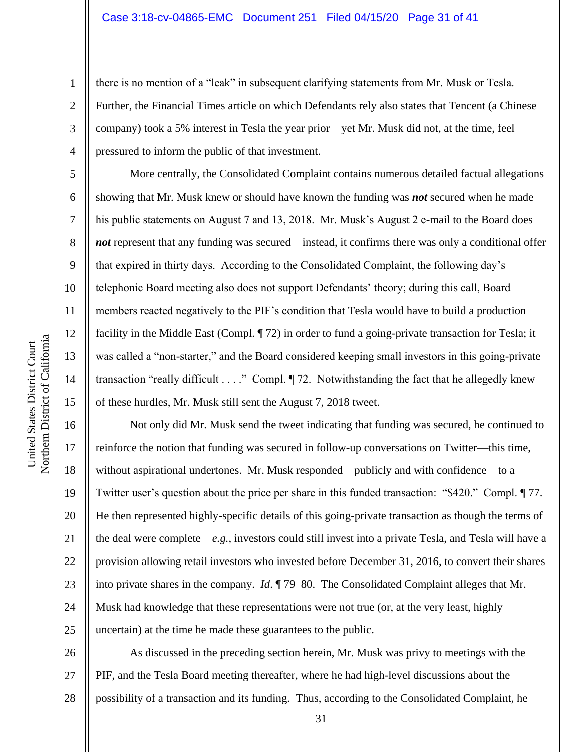there is no mention of a "leak" in subsequent clarifying statements from Mr. Musk or Tesla. Further, the Financial Times article on which Defendants rely also states that Tencent (a Chinese company) took a 5% interest in Tesla the year prior—yet Mr. Musk did not, at the time, feel pressured to inform the public of that investment.

More centrally, the Consolidated Complaint contains numerous detailed factual allegations showing that Mr. Musk knew or should have known the funding was *not* secured when he made his public statements on August 7 and 13, 2018. Mr. Musk's August 2 e-mail to the Board does *not* represent that any funding was secured—instead, it confirms there was only a conditional offer that expired in thirty days. According to the Consolidated Complaint, the following day's telephonic Board meeting also does not support Defendants' theory; during this call, Board members reacted negatively to the PIF's condition that Tesla would have to build a production facility in the Middle East (Compl. ¶ 72) in order to fund a going-private transaction for Tesla; it was called a "non-starter," and the Board considered keeping small investors in this going-private transaction "really difficult . . . ." Compl. ¶ 72. Notwithstanding the fact that he allegedly knew of these hurdles, Mr. Musk still sent the August 7, 2018 tweet.

16 17 18 19 20 21 22 23 24 25 Not only did Mr. Musk send the tweet indicating that funding was secured, he continued to reinforce the notion that funding was secured in follow-up conversations on Twitter—this time, without aspirational undertones. Mr. Musk responded—publicly and with confidence—to a Twitter user's question about the price per share in this funded transaction: "\$420." Compl. ¶ 77. He then represented highly-specific details of this going-private transaction as though the terms of the deal were complete—*e.g.*, investors could still invest into a private Tesla, and Tesla will have a provision allowing retail investors who invested before December 31, 2016, to convert their shares into private shares in the company. *Id*. ¶ 79–80. The Consolidated Complaint alleges that Mr. Musk had knowledge that these representations were not true (or, at the very least, highly uncertain) at the time he made these guarantees to the public.

26 27 28 As discussed in the preceding section herein, Mr. Musk was privy to meetings with the PIF, and the Tesla Board meeting thereafter, where he had high-level discussions about the possibility of a transaction and its funding. Thus, according to the Consolidated Complaint, he

1

2

3

4

5

6

7

8

9

10

11

12

13

14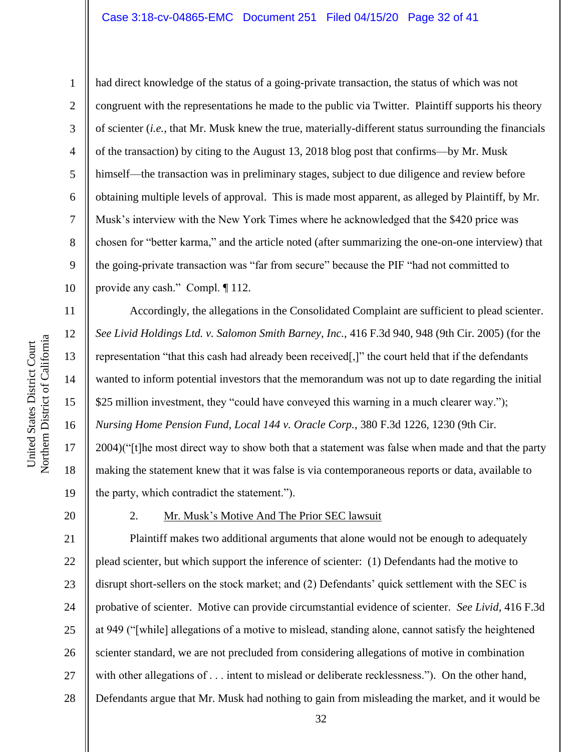10 11 12 13 14 Northern District of California

1

2

3

4

5

6

7

8

9

had direct knowledge of the status of a going-private transaction, the status of which was not congruent with the representations he made to the public via Twitter. Plaintiff supports his theory of scienter (*i.e.*, that Mr. Musk knew the true, materially-different status surrounding the financials of the transaction) by citing to the August 13, 2018 blog post that confirms—by Mr. Musk himself—the transaction was in preliminary stages, subject to due diligence and review before obtaining multiple levels of approval. This is made most apparent, as alleged by Plaintiff, by Mr. Musk's interview with the New York Times where he acknowledged that the \$420 price was chosen for "better karma," and the article noted (after summarizing the one-on-one interview) that the going-private transaction was "far from secure" because the PIF "had not committed to provide any cash." Compl. ¶ 112.

16 Accordingly, the allegations in the Consolidated Complaint are sufficient to plead scienter. *See Livid Holdings Ltd. v. Salomon Smith Barney, Inc.*, 416 F.3d 940, 948 (9th Cir. 2005) (for the representation "that this cash had already been received[,]" the court held that if the defendants wanted to inform potential investors that the memorandum was not up to date regarding the initial \$25 million investment, they "could have conveyed this warning in a much clearer way."); *Nursing Home Pension Fund, Local 144 v. Oracle Corp.*, 380 F.3d 1226, 1230 (9th Cir. 2004)("[t]he most direct way to show both that a statement was false when made and that the party making the statement knew that it was false is via contemporaneous reports or data, available to the party, which contradict the statement.").

20

15

United States District Court

Northern District of California United States District Court

17

18

19

### 2. Mr. Musk's Motive And The Prior SEC lawsuit

21 22 23 24 25 26 27 28 Plaintiff makes two additional arguments that alone would not be enough to adequately plead scienter, but which support the inference of scienter: (1) Defendants had the motive to disrupt short-sellers on the stock market; and (2) Defendants' quick settlement with the SEC is probative of scienter. Motive can provide circumstantial evidence of scienter. *See Livid*, 416 F.3d at 949 ("[while] allegations of a motive to mislead, standing alone, cannot satisfy the heightened scienter standard, we are not precluded from considering allegations of motive in combination with other allegations of . . . intent to mislead or deliberate recklessness."). On the other hand, Defendants argue that Mr. Musk had nothing to gain from misleading the market, and it would be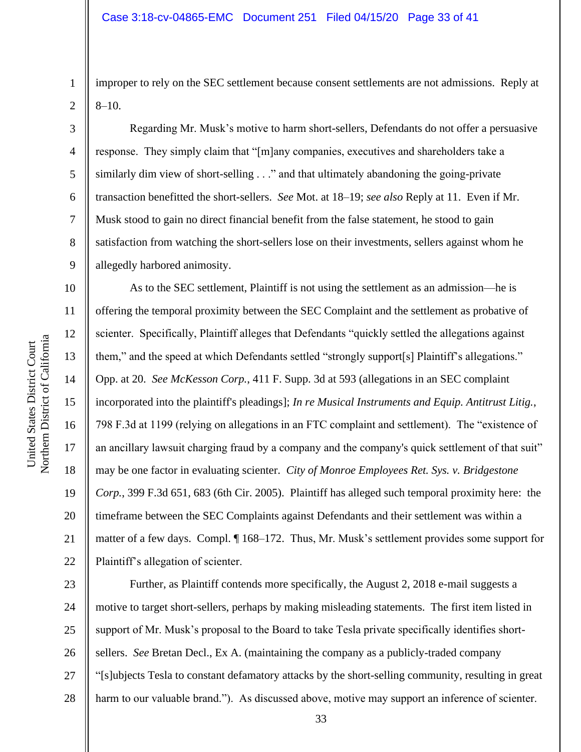improper to rely on the SEC settlement because consent settlements are not admissions. Reply at 8–10.

Regarding Mr. Musk's motive to harm short-sellers, Defendants do not offer a persuasive response. They simply claim that "[m]any companies, executives and shareholders take a similarly dim view of short-selling . . ." and that ultimately abandoning the going-private transaction benefitted the short-sellers. *See* Mot. at 18–19; *see also* Reply at 11. Even if Mr. Musk stood to gain no direct financial benefit from the false statement, he stood to gain satisfaction from watching the short-sellers lose on their investments, sellers against whom he allegedly harbored animosity.

10 12 16 20 21 22 As to the SEC settlement, Plaintiff is not using the settlement as an admission—he is offering the temporal proximity between the SEC Complaint and the settlement as probative of scienter. Specifically, Plaintiff alleges that Defendants "quickly settled the allegations against them," and the speed at which Defendants settled "strongly support[s] Plaintiff's allegations." Opp. at 20. *See McKesson Corp.*, 411 F. Supp. 3d at 593 (allegations in an SEC complaint incorporated into the plaintiff's pleadings]; *In re Musical Instruments and Equip. Antitrust Litig.*, 798 F.3d at 1199 (relying on allegations in an FTC complaint and settlement). The "existence of an ancillary lawsuit charging fraud by a company and the company's quick settlement of that suit" may be one factor in evaluating scienter. *City of Monroe Employees Ret. Sys. v. Bridgestone Corp.*, 399 F.3d 651, 683 (6th Cir. 2005). Plaintiff has alleged such temporal proximity here: the timeframe between the SEC Complaints against Defendants and their settlement was within a matter of a few days. Compl. ¶ 168–172. Thus, Mr. Musk's settlement provides some support for Plaintiff's allegation of scienter.

23 24 25 26 27 28 Further, as Plaintiff contends more specifically, the August 2, 2018 e-mail suggests a motive to target short-sellers, perhaps by making misleading statements. The first item listed in support of Mr. Musk's proposal to the Board to take Tesla private specifically identifies shortsellers. *See* Bretan Decl., Ex A. (maintaining the company as a publicly-traded company "[s]ubjects Tesla to constant defamatory attacks by the short-selling community, resulting in great harm to our valuable brand."). As discussed above, motive may support an inference of scienter.

1

2

3

4

5

6

7

8

9

11

13

14

15

17

18

19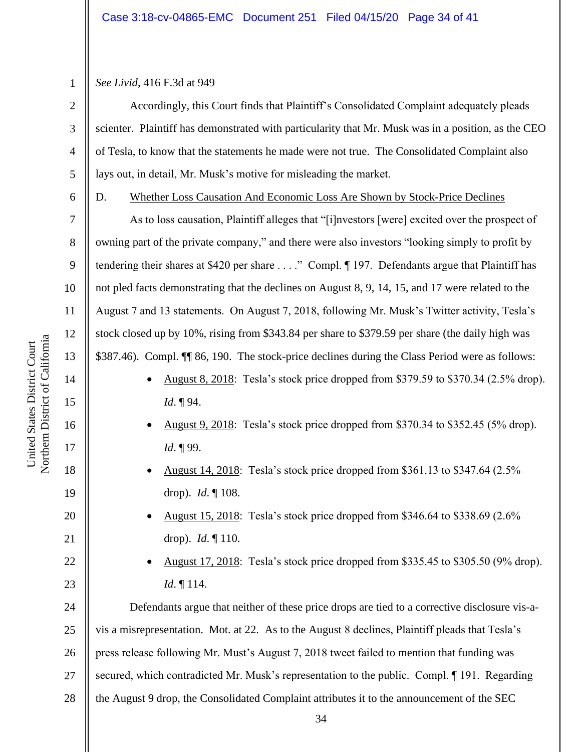2

3

4

5

7

8

9

10

11

12

13

14

15

16

17

18

19

20

21

22

23

## *See Livid*, 416 F.3d at 949

Accordingly, this Court finds that Plaintiff's Consolidated Complaint adequately pleads scienter. Plaintiff has demonstrated with particularity that Mr. Musk was in a position, as the CEO of Tesla, to know that the statements he made were not true. The Consolidated Complaint also lays out, in detail, Mr. Musk's motive for misleading the market.

6

### D. Whether Loss Causation And Economic Loss Are Shown by Stock-Price Declines

As to loss causation, Plaintiff alleges that "[i]nvestors [were] excited over the prospect of owning part of the private company," and there were also investors "looking simply to profit by tendering their shares at \$420 per share . . . ." Compl. ¶ 197. Defendants argue that Plaintiff has not pled facts demonstrating that the declines on August 8, 9, 14, 15, and 17 were related to the August 7 and 13 statements. On August 7, 2018, following Mr. Musk's Twitter activity, Tesla's stock closed up by 10%, rising from \$343.84 per share to \$379.59 per share (the daily high was \$387.46). Compl.  $\P$  86, 190. The stock-price declines during the Class Period were as follows:

- August 8, 2018: Tesla's stock price dropped from \$379.59 to \$370.34 (2.5% drop). *Id*. ¶ 94.
- August 9, 2018: Tesla's stock price dropped from \$370.34 to \$352.45 (5% drop). *Id*. ¶ 99.
- August 14, 2018: Tesla's stock price dropped from \$361.13 to \$347.64 (2.5% drop). *Id*. ¶ 108.
- August 15, 2018: Tesla's stock price dropped from \$346.64 to \$338.69 (2.6% drop). *Id*. ¶ 110.
- August 17, 2018: Tesla's stock price dropped from \$335.45 to \$305.50 (9% drop). *Id*. ¶ 114.

24 25 26 27 28 Defendants argue that neither of these price drops are tied to a corrective disclosure vis-avis a misrepresentation. Mot. at 22. As to the August 8 declines, Plaintiff pleads that Tesla's press release following Mr. Must's August 7, 2018 tweet failed to mention that funding was secured, which contradicted Mr. Musk's representation to the public. Compl. ¶ 191. Regarding the August 9 drop, the Consolidated Complaint attributes it to the announcement of the SEC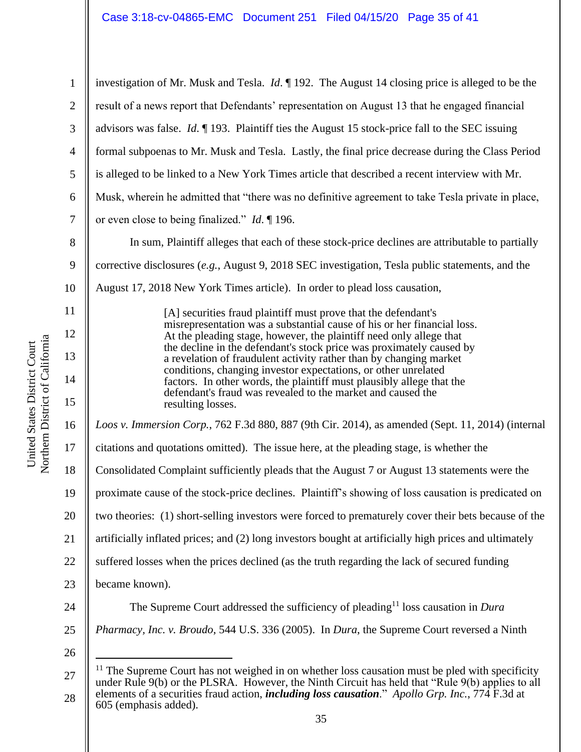1 2 3 4 5 6 7 8 9 10 11 12 13 14 investigation of Mr. Musk and Tesla. *Id*. ¶ 192. The August 14 closing price is alleged to be the result of a news report that Defendants' representation on August 13 that he engaged financial advisors was false. *Id*. ¶ 193. Plaintiff ties the August 15 stock-price fall to the SEC issuing formal subpoenas to Mr. Musk and Tesla. Lastly, the final price decrease during the Class Period is alleged to be linked to a New York Times article that described a recent interview with Mr. Musk, wherein he admitted that "there was no definitive agreement to take Tesla private in place, or even close to being finalized." *Id*. ¶ 196. In sum, Plaintiff alleges that each of these stock-price declines are attributable to partially corrective disclosures (*e.g.*, August 9, 2018 SEC investigation, Tesla public statements, and the August 17, 2018 New York Times article). In order to plead loss causation, [A] securities fraud plaintiff must prove that the defendant's misrepresentation was a substantial cause of his or her financial loss. At the pleading stage, however, the plaintiff need only allege that the decline in the defendant's stock price was proximately caused by a revelation of fraudulent activity rather than by changing market conditions, changing investor expectations, or other unrelated

factors. In other words, the plaintiff must plausibly allege that the defendant's fraud was revealed to the market and caused the resulting losses.

*Loos v. Immersion Corp.*, 762 F.3d 880, 887 (9th Cir. 2014), as amended (Sept. 11, 2014) (internal

17 citations and quotations omitted). The issue here, at the pleading stage, is whether the

18 Consolidated Complaint sufficiently pleads that the August 7 or August 13 statements were the

19 proximate cause of the stock-price declines. Plaintiff's showing of loss causation is predicated on

20 two theories: (1) short-selling investors were forced to prematurely cover their bets because of the

21 artificially inflated prices; and (2) long investors bought at artificially high prices and ultimately

22 suffered losses when the prices declined (as the truth regarding the lack of secured funding

23 became known).

The Supreme Court addressed the sufficiency of pleading<sup>11</sup> loss causation in *Dura* 

25 *Pharmacy, Inc. v. Broudo*, 544 U.S. 336 (2005). In *Dura*, the Supreme Court reversed a Ninth

26

24

15

<sup>27</sup> 28  $11$  The Supreme Court has not weighed in on whether loss causation must be pled with specificity under Rule 9(b) or the PLSRA. However, the Ninth Circuit has held that "Rule 9(b) applies to all elements of a securities fraud action, *including loss causation*." *Apollo Grp. Inc.*, 774 F.3d at 605 (emphasis added).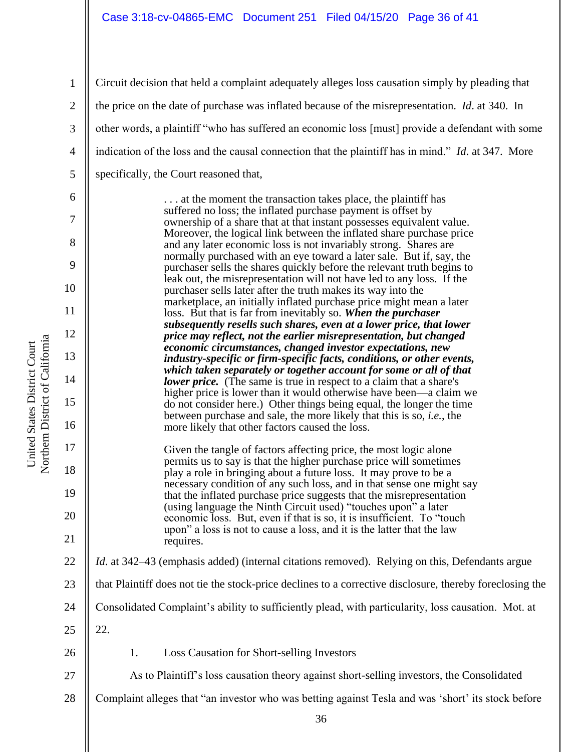Circuit decision that held a complaint adequately alleges loss causation simply by pleading that the price on the date of purchase was inflated because of the misrepresentation. *Id*. at 340. In other words, a plaintiff "who has suffered an economic loss [must] provide a defendant with some indication of the loss and the causal connection that the plaintiff has in mind." *Id*. at 347. More specifically, the Court reasoned that,

> . . . at the moment the transaction takes place, the plaintiff has suffered no loss; the inflated purchase payment is offset by ownership of a share that at that instant possesses equivalent value. Moreover, the logical link between the inflated share purchase price and any later economic loss is not invariably strong. Shares are normally purchased with an eye toward a later sale. But if, say, the purchaser sells the shares quickly before the relevant truth begins to leak out, the misrepresentation will not have led to any loss. If the purchaser sells later after the truth makes its way into the marketplace, an initially inflated purchase price might mean a later loss. But that is far from inevitably so. *When the purchaser subsequently resells such shares, even at a lower price, that lower price may reflect, not the earlier misrepresentation, but changed economic circumstances, changed investor expectations, new industry-specific or firm-specific facts, conditions, or other events, which taken separately or together account for some or all of that lower price.* (The same is true in respect to a claim that a share's higher price is lower than it would otherwise have been—a claim we do not consider here.) Other things being equal, the longer the time between purchase and sale, the more likely that this is so, *i.e.*, the more likely that other factors caused the loss.

Given the tangle of factors affecting price, the most logic alone permits us to say is that the higher purchase price will sometimes play a role in bringing about a future loss. It may prove to be a necessary condition of any such loss, and in that sense one might say that the inflated purchase price suggests that the misrepresentation (using language the Ninth Circuit used) "touches upon" a later economic loss. But, even if that is so, it is insufficient. To "touch upon" a loss is not to cause a loss, and it is the latter that the law requires.

*Id.* at 342–43 (emphasis added) (internal citations removed). Relying on this, Defendants argue

that Plaintiff does not tie the stock-price declines to a corrective disclosure, thereby foreclosing the

24 Consolidated Complaint's ability to sufficiently plead, with particularity, loss causation. Mot. at

25 22.

26

27

- 1. Loss Causation for Short-selling Investors
- As to Plaintiff's loss causation theory against short-selling investors, the Consolidated
- 28 Complaint alleges that "an investor who was betting against Tesla and was 'short' its stock before

1

2

3

4

5

6

7

8

9

10

11

12

13

14

15

United States District Court Northern District of California

Northern District of California United States District Court

16

17

18

19

20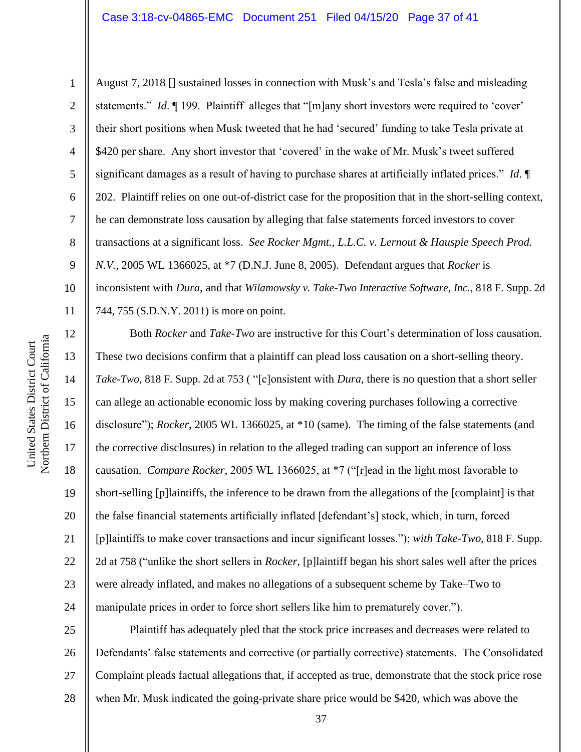2

3

4

5

6

7

8

9

10

11

12

13

14

15

16

17

18

19

20

21

22

23

24

August 7, 2018 [] sustained losses in connection with Musk's and Tesla's false and misleading statements." *Id*. ¶ 199. Plaintiff alleges that "[m]any short investors were required to 'cover' their short positions when Musk tweeted that he had 'secured' funding to take Tesla private at \$420 per share. Any short investor that 'covered' in the wake of Mr. Musk's tweet suffered significant damages as a result of having to purchase shares at artificially inflated prices." *Id*. ¶ 202. Plaintiff relies on one out-of-district case for the proposition that in the short-selling context, he can demonstrate loss causation by alleging that false statements forced investors to cover transactions at a significant loss. *See Rocker Mgmt., L.L.C. v. Lernout & Hauspie Speech Prod. N.V.*, 2005 WL 1366025, at \*7 (D.N.J. June 8, 2005). Defendant argues that *Rocker* is inconsistent with *Dura*, and that *Wilamowsky v. Take-Two Interactive Software, Inc.*, 818 F. Supp. 2d 744, 755 (S.D.N.Y. 2011) is more on point.

Both *Rocker* and *Take-Two* are instructive for this Court's determination of loss causation. These two decisions confirm that a plaintiff can plead loss causation on a short-selling theory. *Take-Two*, 818 F. Supp. 2d at 753 ( "[c]onsistent with *Dura*, there is no question that a short seller can allege an actionable economic loss by making covering purchases following a corrective disclosure"); *Rocker*, 2005 WL 1366025, at \*10 (same). The timing of the false statements (and the corrective disclosures) in relation to the alleged trading can support an inference of loss causation. *Compare Rocker*, 2005 WL 1366025, at \*7 ("[r]ead in the light most favorable to short-selling [p]laintiffs, the inference to be drawn from the allegations of the [complaint] is that the false financial statements artificially inflated [defendant's] stock, which, in turn, forced [p]laintiffs to make cover transactions and incur significant losses."); *with Take-Two*, 818 F. Supp. 2d at 758 ("unlike the short sellers in *Rocker*, [p]laintiff began his short sales well after the prices were already inflated, and makes no allegations of a subsequent scheme by Take–Two to manipulate prices in order to force short sellers like him to prematurely cover.").

25 26 27 28 Plaintiff has adequately pled that the stock price increases and decreases were related to Defendants' false statements and corrective (or partially corrective) statements. The Consolidated Complaint pleads factual allegations that, if accepted as true, demonstrate that the stock price rose when Mr. Musk indicated the going-private share price would be \$420, which was above the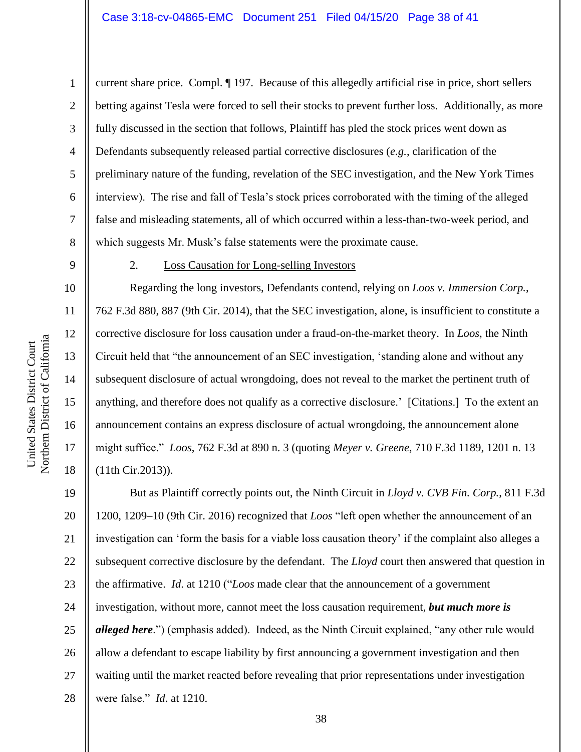current share price. Compl. ¶ 197. Because of this allegedly artificial rise in price, short sellers betting against Tesla were forced to sell their stocks to prevent further loss. Additionally, as more fully discussed in the section that follows, Plaintiff has pled the stock prices went down as Defendants subsequently released partial corrective disclosures (*e.g.*, clarification of the preliminary nature of the funding, revelation of the SEC investigation, and the New York Times interview). The rise and fall of Tesla's stock prices corroborated with the timing of the alleged false and misleading statements, all of which occurred within a less-than-two-week period, and which suggests Mr. Musk's false statements were the proximate cause.

9

1

2

3

4

5

6

7

8

10

11

12

13

14

15

16

17

18

### 2. Loss Causation for Long-selling Investors

Regarding the long investors, Defendants contend, relying on *Loos v. Immersion Corp.*, 762 F.3d 880, 887 (9th Cir. 2014), that the SEC investigation, alone, is insufficient to constitute a corrective disclosure for loss causation under a fraud-on-the-market theory. In *Loos*, the Ninth Circuit held that "the announcement of an SEC investigation, 'standing alone and without any subsequent disclosure of actual wrongdoing, does not reveal to the market the pertinent truth of anything, and therefore does not qualify as a corrective disclosure.' [Citations.] To the extent an announcement contains an express disclosure of actual wrongdoing, the announcement alone might suffice." *Loos*, 762 F.3d at 890 n. 3 (quoting *Meyer v. Greene*, 710 F.3d 1189, 1201 n. 13 (11th Cir.2013)).

19 20 21 22 23 24 25 26 27 28 But as Plaintiff correctly points out, the Ninth Circuit in *Lloyd v. CVB Fin. Corp.*, 811 F.3d 1200, 1209–10 (9th Cir. 2016) recognized that *Loos* "left open whether the announcement of an investigation can 'form the basis for a viable loss causation theory' if the complaint also alleges a subsequent corrective disclosure by the defendant. The *Lloyd* court then answered that question in the affirmative. *Id*. at 1210 ("*Loos* made clear that the announcement of a government investigation, without more, cannot meet the loss causation requirement, *but much more is alleged here*.") (emphasis added). Indeed, as the Ninth Circuit explained, "any other rule would allow a defendant to escape liability by first announcing a government investigation and then waiting until the market reacted before revealing that prior representations under investigation were false." *Id*. at 1210.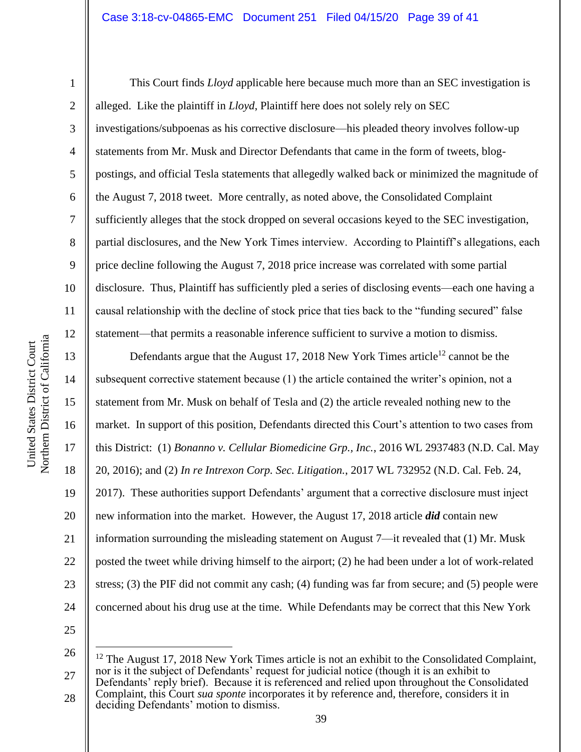2

3

4

5

6

7

8

9

10

11

12

13

14

15

16

17

18

19

20

21

22

23

24

This Court finds *Lloyd* applicable here because much more than an SEC investigation is alleged. Like the plaintiff in *Lloyd*, Plaintiff here does not solely rely on SEC investigations/subpoenas as his corrective disclosure—his pleaded theory involves follow-up statements from Mr. Musk and Director Defendants that came in the form of tweets, blogpostings, and official Tesla statements that allegedly walked back or minimized the magnitude of the August 7, 2018 tweet. More centrally, as noted above, the Consolidated Complaint sufficiently alleges that the stock dropped on several occasions keyed to the SEC investigation, partial disclosures, and the New York Times interview. According to Plaintiff's allegations, each price decline following the August 7, 2018 price increase was correlated with some partial disclosure. Thus, Plaintiff has sufficiently pled a series of disclosing events—each one having a causal relationship with the decline of stock price that ties back to the "funding secured" false statement—that permits a reasonable inference sufficient to survive a motion to dismiss.

Defendants argue that the August 17, 2018 New York Times article<sup>12</sup> cannot be the subsequent corrective statement because (1) the article contained the writer's opinion, not a statement from Mr. Musk on behalf of Tesla and (2) the article revealed nothing new to the market. In support of this position, Defendants directed this Court's attention to two cases from this District: (1) *Bonanno v. Cellular Biomedicine Grp., Inc.*, 2016 WL 2937483 (N.D. Cal. May 20, 2016); and (2) *In re Intrexon Corp. Sec. Litigation.*, 2017 WL 732952 (N.D. Cal. Feb. 24, 2017). These authorities support Defendants' argument that a corrective disclosure must inject new information into the market. However, the August 17, 2018 article *did* contain new information surrounding the misleading statement on August 7—it revealed that (1) Mr. Musk posted the tweet while driving himself to the airport; (2) he had been under a lot of work-related stress; (3) the PIF did not commit any cash; (4) funding was far from secure; and (5) people were concerned about his drug use at the time. While Defendants may be correct that this New York

<sup>26</sup> 27 28  $12$  The August 17, 2018 New York Times article is not an exhibit to the Consolidated Complaint, nor is it the subject of Defendants' request for judicial notice (though it is an exhibit to Defendants' reply brief). Because it is referenced and relied upon throughout the Consolidated Complaint, this Court *sua sponte* incorporates it by reference and, therefore, considers it in deciding Defendants' motion to dismiss.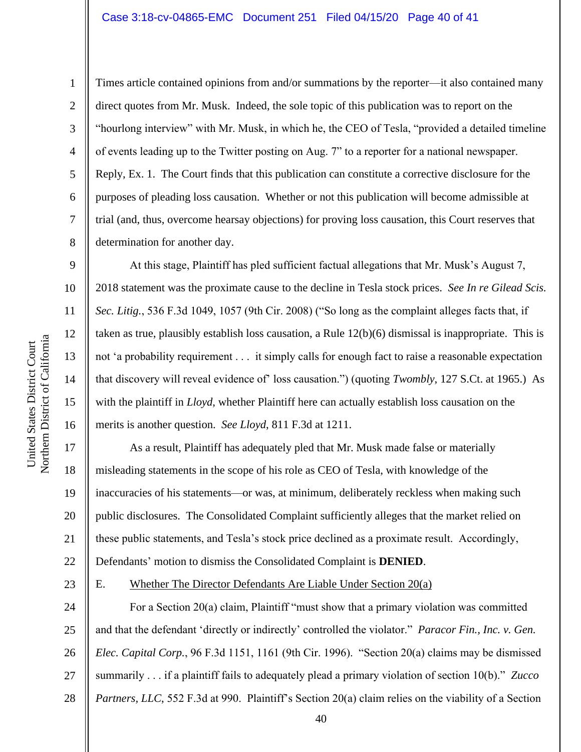### Case 3:18-cv-04865-EMC Document 251 Filed 04/15/20 Page 40 of 41

1

2

3

5

8

12

13

14

15

16

17

18

19

20

21

22

4 Times article contained opinions from and/or summations by the reporter—it also contained many direct quotes from Mr. Musk. Indeed, the sole topic of this publication was to report on the "hourlong interview" with Mr. Musk, in which he, the CEO of Tesla, "provided a detailed timeline of events leading up to the Twitter posting on Aug. 7" to a reporter for a national newspaper. Reply, Ex. 1. The Court finds that this publication can constitute a corrective disclosure for the purposes of pleading loss causation. Whether or not this publication will become admissible at trial (and, thus, overcome hearsay objections) for proving loss causation, this Court reserves that determination for another day.

At this stage, Plaintiff has pled sufficient factual allegations that Mr. Musk's August 7, 2018 statement was the proximate cause to the decline in Tesla stock prices. *See In re Gilead Scis. Sec. Litig.*, 536 F.3d 1049, 1057 (9th Cir. 2008) ("So long as the complaint alleges facts that, if taken as true, plausibly establish loss causation, a Rule 12(b)(6) dismissal is inappropriate. This is not 'a probability requirement . . . it simply calls for enough fact to raise a reasonable expectation that discovery will reveal evidence of' loss causation.") (quoting *Twombly*, 127 S.Ct. at 1965.) As with the plaintiff in *Lloyd*, whether Plaintiff here can actually establish loss causation on the merits is another question. *See Lloyd*, 811 F.3d at 1211.

As a result, Plaintiff has adequately pled that Mr. Musk made false or materially misleading statements in the scope of his role as CEO of Tesla, with knowledge of the inaccuracies of his statements—or was, at minimum, deliberately reckless when making such public disclosures. The Consolidated Complaint sufficiently alleges that the market relied on these public statements, and Tesla's stock price declined as a proximate result. Accordingly, Defendants' motion to dismiss the Consolidated Complaint is **DENIED**.

23

E. Whether The Director Defendants Are Liable Under Section 20(a)

24 25 26 27 28 For a Section 20(a) claim, Plaintiff "must show that a primary violation was committed and that the defendant 'directly or indirectly' controlled the violator." *Paracor Fin., Inc. v. Gen. Elec. Capital Corp.*, 96 F.3d 1151, 1161 (9th Cir. 1996). "Section 20(a) claims may be dismissed summarily . . . if a plaintiff fails to adequately plead a primary violation of section 10(b)." *Zucco Partners, LLC*, 552 F.3d at 990. Plaintiff's Section 20(a) claim relies on the viability of a Section